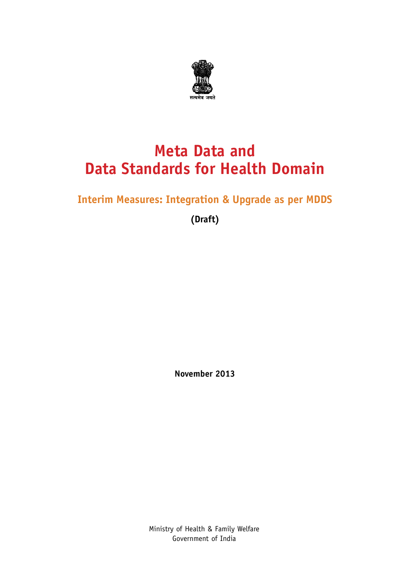

### **Meta Data and Data Standards for Health Domain**

### **Interim Measures: Integration & Upgrade as per MDDS**

**(Draft)**

**November 2013**

Ministry of Health & Family Welfare Government of India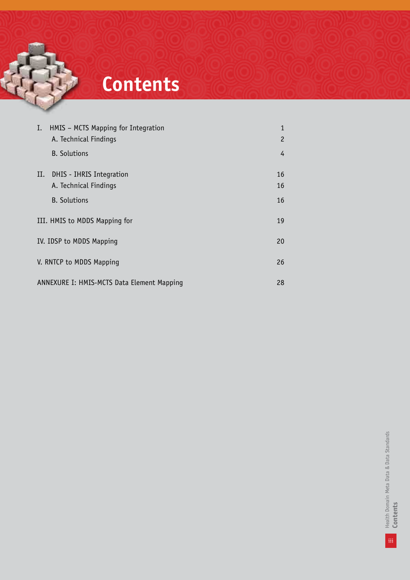# **Contents**

| Ι.                                               | HMIS - MCTS Mapping for Integration<br>A. Technical Findings | 1<br>$\overline{c}$ |  |
|--------------------------------------------------|--------------------------------------------------------------|---------------------|--|
|                                                  | <b>B.</b> Solutions                                          | 4                   |  |
| II.                                              | DHIS - IHRIS Integration<br>A. Technical Findings            | 16<br>16            |  |
|                                                  | <b>B.</b> Solutions                                          | 16                  |  |
|                                                  | III. HMIS to MDDS Mapping for                                |                     |  |
| IV. IDSP to MDDS Mapping<br>20                   |                                                              |                     |  |
| V. RNTCP to MDDS Mapping<br>26                   |                                                              |                     |  |
| ANNEXURE I: HMIS-MCTS Data Element Mapping<br>28 |                                                              |                     |  |

iii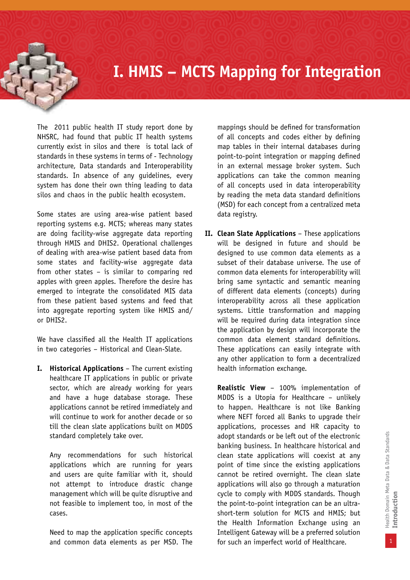### **I. HMIS – MCTS Mapping for Integration**

The 2011 public health IT study report done by NHSRC, had found that public IT health systems currently exist in silos and there is total lack of standards in these systems in terms of - Technology architecture, Data standards and Interoperability standards. In absence of any guidelines, every system has done their own thing leading to data silos and chaos in the public health ecosystem.

Some states are using area-wise patient based reporting systems e.g. MCTS; whereas many states are doing facility-wise aggregate data reporting through HMIS and DHIS2. Operational challenges of dealing with area-wise patient based data from some states and facility-wise aggregate data from other states – is similar to comparing red apples with green apples. Therefore the desire has emerged to integrate the consolidated MIS data from these patient based systems and feed that into aggregate reporting system like HMIS and/ or DHIS2.

We have classified all the Health IT applications in two categories – Historical and Clean-Slate.

**I. Historical Applications** – The current existing healthcare IT applications in public or private sector, which are already working for years and have a huge database storage. These applications cannot be retired immediately and will continue to work for another decade or so till the clean slate applications built on MDDS standard completely take over.

Any recommendations for such historical applications which are running for years and users are quite familiar with it, should not attempt to introduce drastic change management which will be quite disruptive and not feasible to implement too, in most of the cases.

Need to map the application specific concepts and common data elements as per MSD. The mappings should be defined for transformation of all concepts and codes either by defining map tables in their internal databases during point-to-point integration or mapping defined in an external message broker system. Such applications can take the common meaning of all concepts used in data interoperability by reading the meta data standard definitions (MSD) for each concept from a centralized meta data registry.

**II. Clean Slate Applications** – These applications will be designed in future and should be designed to use common data elements as a subset of their database universe. The use of common data elements for interoperability will bring same syntactic and semantic meaning of different data elements (concepts) during interoperability across all these application systems. Little transformation and mapping will be required during data integration since the application by design will incorporate the common data element standard definitions. These applications can easily integrate with any other application to form a decentralized health information exchange.

**Realistic View** – 100% implementation of MDDS is a Utopia for Healthcare – unlikely to happen. Healthcare is not like Banking where NEFT forced all Banks to upgrade their applications, processes and HR capacity to adopt standards or be left out of the electronic banking business. In healthcare historical and clean state applications will coexist at any point of time since the existing applications cannot be retired overnight. The clean slate applications will also go through a maturation cycle to comply with MDDS standards. Though the point-to-point integration can be an ultrashort-term solution for MCTS and HMIS; but the Health Information Exchange using an Intelligent Gateway will be a preferred solution for such an imperfect world of Healthcare.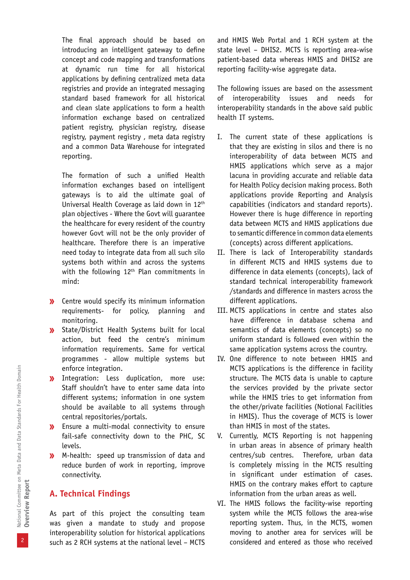The final approach should be based on introducing an intelligent gateway to define concept and code mapping and transformations at dynamic run time for all historical applications by defining centralized meta data registries and provide an integrated messaging standard based framework for all historical and clean slate applications to form a health information exchange based on centralized patient registry, physician registry, disease registry, payment registry , meta data registry and a common Data Warehouse for integrated reporting.

The formation of such a unified Health information exchanges based on intelligent gateways is to aid the ultimate goal of Universal Health Coverage as laid down in 12th plan objectives - Where the Govt will guarantee the healthcare for every resident of the country however Govt will not be the only provider of healthcare. Therefore there is an imperative need today to integrate data from all such silo systems both within and across the systems with the following 12<sup>th</sup> Plan commitments in mind:

- **»** Centre would specify its minimum information requirements- for policy, planning and monitoring.
- State/District Health Systems built for local action, but feed the centre's minimum information requirements. Same for vertical programmes - allow multiple systems but enforce integration.
- Integration: Less duplication, more use: Staff shouldn't have to enter same data into different systems; information in one system should be available to all systems through central repositories/portals.
- Ensure a multi-modal connectivity to ensure fail-safe connectivity down to the PHC, SC levels.
- M-health: speed up transmission of data and reduce burden of work in reporting, improve connectivity.

#### **A. Technical Findings**

As part of this project the consulting team was given a mandate to study and propose interoperability solution for historical applications such as 2 RCH systems at the national level – MCTS

and HMIS Web Portal and 1 RCH system at the state level – DHIS2. MCTS is reporting area-wise patient-based data whereas HMIS and DHIS2 are reporting facility-wise aggregate data.

The following issues are based on the assessment of interoperability issues and needs for interoperability standards in the above said public health IT systems.

- I. The current state of these applications is that they are existing in silos and there is no interoperability of data between MCTS and HMIS applications which serve as a major lacuna in providing accurate and reliable data for Health Policy decision making process. Both applications provide Reporting and Analysis capabilities (indicators and standard reports). However there is huge difference in reporting data between MCTS and HMIS applications due to semantic difference in common data elements (concepts) across different applications.
- II. There is lack of Interoperability standards in different MCTS and HMIS systems due to difference in data elements (concepts), lack of standard technical interoperability framework /standards and difference in masters across the different applications.
- III. MCTS applications in centre and states also have difference in database schema and semantics of data elements (concepts) so no uniform standard is followed even within the same application systems across the country.
- IV. One difference to note between HMIS and MCTS applications is the difference in facility structure. The MCTS data is unable to capture the services provided by the private sector while the HMIS tries to get information from the other/private facilities (Notional Facilities in HMIS). Thus the coverage of MCTS is lower than HMIS in most of the states.
- V. Currently, MCTS Reporting is not happening in urban areas in absence of primary health centres/sub centres. Therefore, urban data is completely missing in the MCTS resulting in significant under estimation of cases. HMIS on the contrary makes effort to capture information from the urban areas as well.
- VI. The HMIS follows the facility-wise reporting system while the MCTS follows the area-wise reporting system. Thus, in the MCTS, women moving to another area for services will be considered and entered as those who received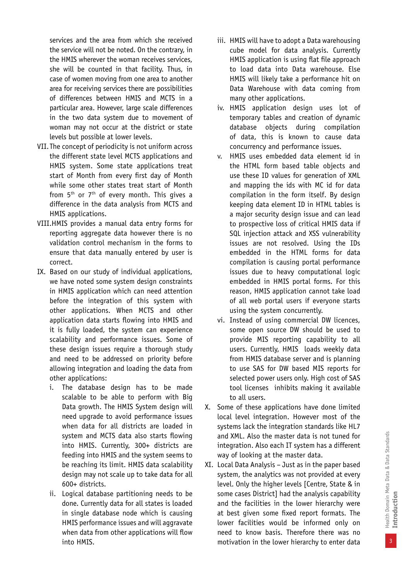services and the area from which she received the service will not be noted. On the contrary, in the HMIS wherever the woman receives services, she will be counted in that facility. Thus, in case of women moving from one area to another area for receiving services there are possibilities of differences between HMIS and MCTS in a particular area. However, large scale differences in the two data system due to movement of woman may not occur at the district or state levels but possible at lower levels.

- VII.The concept of periodicity is not uniform across the different state level MCTS applications and HMIS system. Some state applications treat start of Month from every first day of Month while some other states treat start of Month from  $5<sup>th</sup>$  or  $7<sup>th</sup>$  of every month. This gives a difference in the data analysis from MCTS and HMIS applications.
- VIII.HMIS provides a manual data entry forms for reporting aggregate data however there is no validation control mechanism in the forms to ensure that data manually entered by user is correct.
- IX. Based on our study of individual applications, we have noted some system design constraints in HMIS application which can need attention before the integration of this system with other applications. When MCTS and other application data starts flowing into HMIS and it is fully loaded, the system can experience scalability and performance issues. Some of these design issues require a thorough study and need to be addressed on priority before allowing integration and loading the data from other applications:
	- i. The database design has to be made scalable to be able to perform with Big Data growth. The HMIS System design will need upgrade to avoid performance issues when data for all districts are loaded in system and MCTS data also starts flowing into HMIS. Currently, 300+ districts are feeding into HMIS and the system seems to be reaching its limit. HMIS data scalability design may not scale up to take data for all 600+ districts.
	- ii. Logical database partitioning needs to be done. Currently data for all states is loaded in single database node which is causing HMIS performance issues and will aggravate when data from other applications will flow into HMIS.
- iii. HMIS will have to adopt a Data warehousing cube model for data analysis. Currently HMIS application is using flat file approach to load data into Data warehouse. Else HMIS will likely take a performance hit on Data Warehouse with data coming from many other applications.
- iv. HMIS application design uses lot of temporary tables and creation of dynamic database objects during compilation of data, this is known to cause data concurrency and performance issues.
- v. HMIS uses embedded data element id in the HTML form based table objects and use these ID values for generation of XML and mapping the ids with MC id for data compilation in the form itself. By design keeping data element ID in HTML tables is a major security design issue and can lead to prospective loss of critical HMIS data if SQL injection attack and XSS vulnerability issues are not resolved. Using the IDs embedded in the HTML forms for data compilation is causing portal performance issues due to heavy computational logic embedded in HMIS portal forms. For this reason, HMIS application cannot take load of all web portal users if everyone starts using the system concurrently.
- vi. Instead of using commercial DW licences, some open source DW should be used to provide MIS reporting capability to all users. Currently, HMIS loads weekly data from HMIS database server and is planning to use SAS for DW based MIS reports for selected power users only. High cost of SAS tool licenses inhibits making it available to all users.
- X. Some of these applications have done limited local level integration. However most of the systems lack the integration standards like HL7 and XML. Also the master data is not tuned for integration. Also each IT system has a different way of looking at the master data.
- XI. Local Data Analysis Just as in the paper based system, the analytics was not provided at every level. Only the higher levels [Centre, State & in some cases District] had the analysis capability and the facilities in the lower hierarchy were at best given some fixed report formats. The lower facilities would be informed only on need to know basis. Therefore there was no motivation in the lower hierarchy to enter data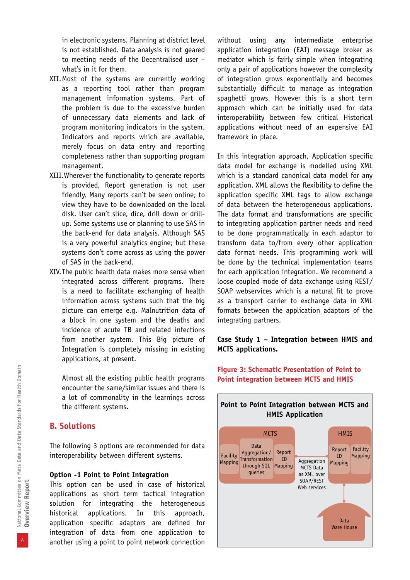in electronic systems. Planning at district level is not established. Data analysis is not geared to meeting needs of the Decentralised user – what's in it for them.

- XII.Most of the systems are currently working as a reporting tool rather than program management information systems. Part of the problem is due to the excessive burden of unnecessary data elements and lack of program monitoring indicators in the system. Indicators and reports which are available, merely focus on data entry and reporting completeness rather than supporting program management.
- XIII.Wherever the functionality to generate reports is provided, Report generation is not user friendly. Many reports can't be seen online; to view they have to be downloaded on the local disk. User can't slice, dice, drill down or drillup. Some systems use or planning to use SAS in the back-end for data analysis. Although SAS is a very powerful analytics engine; but these systems don't come across as using the power of SAS in the back-end.
- XIV.The public health data makes more sense when integrated across different programs. There is a need to facilitate exchanging of health information across systems such that the big picture can emerge e.g. Malnutrition data of a block in one system and the deaths and incidence of acute TB and related infections from another system. This Big picture of Integration is completely missing in existing applications, at present.

Almost all the existing public health programs encounter the same/similar issues and there is a lot of commonality in the learnings across the different systems.

#### **B. Solutions**

The following 3 options are recommended for data interoperability between different systems.

#### **Option -1 Point to Point Integration**

This option can be used in case of historical applications as short term tactical integration solution for integrating the heterogeneous historical applications. In this approach, application specific adaptors are defined for integration of data from one application to another using a point to point network connection without using any intermediate enterprise application integration (EAI) message broker as mediator which is fairly simple when integrating only a pair of applications however the complexity of integration grows exponentially and becomes substantially difficult to manage as integration spaghetti grows. However this is a short term approach which can be initially used for data interoperability between few critical Historical applications without need of an expensive EAI framework in place.

In this integration approach, Application specific data model for exchange is modelled using XML which is a standard canonical data model for any application. XML allows the flexibility to define the application specific XML tags to allow exchange of data between the heterogeneous applications. The data format and transformations are specific to integrating application partner needs and need to be done programmatically in each adaptor to transform data to/from every other application data format needs. This programming work will be done by the technical implementation teams for each application integration. We recommend a loose coupled mode of data exchange using REST/ SOAP webservices which is a natural fit to prove as a transport carrier to exchange data in XML formats between the application adaptors of the integrating partners.

#### **Case Study 1 – Integration between HMIS and MCTS applications.**



**Figure 3: Schematic Presentation of Point to Point integration between MCTS and HMIS**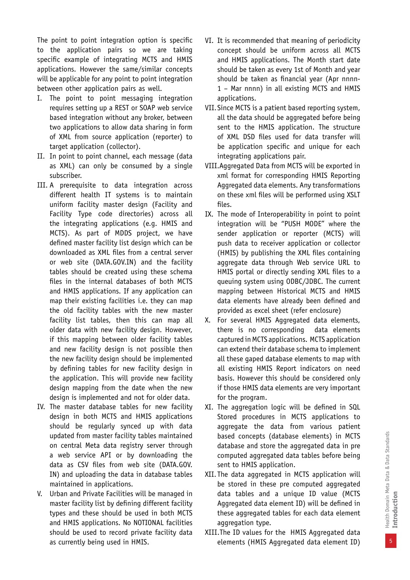The point to point integration option is specific to the application pairs so we are taking specific example of integrating MCTS and HMIS applications. However the same/similar concepts will be applicable for any point to point integration between other application pairs as well.

- I. The point to point messaging integration requires setting up a REST or SOAP web service based integration without any broker, between two applications to allow data sharing in form of XML from source application (reporter) to target application (collector).
- II. In point to point channel, each message (data as XML) can only be consumed by a single subscriber.
- III. A prerequisite to data integration across different health IT systems is to maintain uniform facility master design (Facility and Facility Type code directories) across all the integrating applications (e.g. HMIS and MCTS). As part of MDDS project, we have defined master facility list design which can be downloaded as XML files from a central server or web site (DATA.GOV.IN) and the facility tables should be created using these schema files in the internal databases of both MCTS and HMIS applications. If any application can map their existing facilities i.e. they can map the old facility tables with the new master facility list tables, then this can map all older data with new facility design. However, if this mapping between older facility tables and new facility design is not possible then the new facility design should be implemented by defining tables for new facility design in the application. This will provide new facility design mapping from the date when the new design is implemented and not for older data.
- IV. The master database tables for new facility design in both MCTS and HMIS applications should be regularly synced up with data updated from master facility tables maintained on central Meta data registry server through a web service API or by downloading the data as CSV files from web site (DATA.GOV. IN) and uploading the data in database tables maintained in applications.
- V. Urban and Private Facilities will be managed in master facility list by defining different facility types and these should be used in both MCTS and HMIS applications. No NOTIONAL facilities should be used to record private facility data as currently being used in HMIS.
- VI. It is recommended that meaning of periodicity concept should be uniform across all MCTS and HMIS applications. The Month start date should be taken as every 1st of Month and year should be taken as financial year (Apr nnnn-1 – Mar nnnn) in all existing MCTS and HMIS applications.
- VII.Since MCTS is a patient based reporting system, all the data should be aggregated before being sent to the HMIS application. The structure of XML DSD files used for data transfer will be application specific and unique for each integrating applications pair.
- VIII.Aggregated Data from MCTS will be exported in xml format for corresponding HMIS Reporting Aggregated data elements. Any transformations on these xml files will be performed using XSLT files.
- IX. The mode of Interoperability in point to point integration will be "PUSH MODE" where the sender application or reporter (MCTS) will push data to receiver application or collector (HMIS) by publishing the XML files containing aggregate data through Web service URL to HMIS portal or directly sending XML files to a queuing system using ODBC/JDBC. The current mapping between Historical MCTS and HMIS data elements have already been defined and provided as excel sheet (refer enclosure)
- X. For several HMIS Aggregated data elements, there is no corresponding data elements captured in MCTS applications. MCTS application can extend their database schema to implement all these gaped database elements to map with all existing HMIS Report indicators on need basis. However this should be considered only if those HMIS data elements are very important for the program.
- XI. The aggregation logic will be defined in SQL Stored procedures in MCTS applications to aggregate the data from various patient based concepts (database elements) in MCTS database and store the aggregated data in pre computed aggregated data tables before being sent to HMIS application.
- XII. The data aggregated in MCTS application will be stored in these pre computed aggregated data tables and a unique ID value (MCTS Aggregated data element ID) will be defined in these aggregated tables for each data element aggregation type.
- XIII.The ID values for the HMIS Aggregated data elements (HMIS Aggregated data element ID)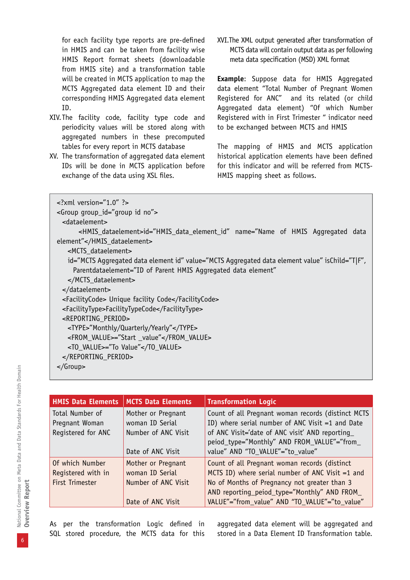for each facility type reports are pre-defined in HMIS and can be taken from facility wise HMIS Report format sheets (downloadable from HMIS site) and a transformation table will be created in MCTS application to map the MCTS Aggregated data element ID and their corresponding HMIS Aggregated data element ID.

- XIV.The facility code, facility type code and periodicity values will be stored along with aggregated numbers in these precomputed tables for every report in MCTS database
- XV. The transformation of aggregated data element IDs will be done in MCTS application before exchange of the data using XSL files.

XVI.The XML output generated after transformation of MCTS data will contain output data as per following meta data specification (MSD) XML format

**Example**: Suppose data for HMIS Aggregated data element "Total Number of Pregnant Women Registered for ANC" and its related (or child Aggregated data element) "Of which Number Registered with in First Trimester " indicator need to be exchanged between MCTS and HMIS

The mapping of HMIS and MCTS application historical application elements have been defined for this indicator and will be referred from MCTS-HMIS mapping sheet as follows.

| $\leq$ ?xml version="1.0" ?>                                                                      |
|---------------------------------------------------------------------------------------------------|
| <group qroup_id="qroup id no"></group>                                                            |
| <dataelement></dataelement>                                                                       |
| <hmis_dataelement>id="HMIS_data_element_id" name="Name of HMIS Aggregated data</hmis_dataelement> |
| element"                                                                                          |
| <mcts dataelement=""></mcts>                                                                      |
| id="MCTS Aggregated data element id" value="MCTS Aggregated data element value" isChild="T F",    |
| Parentdataelement="ID of Parent HMIS Aggregated data element"                                     |
|                                                                                                   |
|                                                                                                   |
| <facilitycode> Unique facility Code</facilitycode>                                                |
| <facilitytype>FacilityTypeCode</facilitytype>                                                     |
| <reporting_period></reporting_period>                                                             |
| <type>"Monthly/Quarterly/Yearly"</type>                                                           |
| <from_value>="Start _value"</from_value>                                                          |
| <to_value>="To Value"</to_value>                                                                  |
|                                                                                                   |
| $\langle$ Group>                                                                                  |
|                                                                                                   |

| <b>HMIS Data Elements</b>                                | <b>MCTS Data Elements</b>                                                         | <b>Transformation Logic</b>                                                                                                                                                                                                                          |
|----------------------------------------------------------|-----------------------------------------------------------------------------------|------------------------------------------------------------------------------------------------------------------------------------------------------------------------------------------------------------------------------------------------------|
| Total Number of<br>Pregnant Woman<br>Registered for ANC  | Mother or Pregnant<br>woman ID Serial<br>Number of ANC Visit<br>Date of ANC Visit | Count of all Pregnant woman records (distinct MCTS<br>ID) where serial number of ANC Visit =1 and Date<br>of ANC Visit='date of ANC visit' AND reporting<br>peiod_type="Monthly" AND FROM_VALUE"="from_<br>value" AND "TO_VALUE"="to_value"          |
| Of which Number<br>Registered with in<br>First Trimester | Mother or Pregnant<br>woman ID Serial<br>Number of ANC Visit<br>Date of ANC Visit | Count of all Pregnant woman records (distinct<br>MCTS ID) where serial number of ANC Visit $=1$ and<br>No of Months of Pregnancy not greater than 3<br>AND reporting_peiod_type="Monthly" AND FROM_<br>VALUE"="from_value" AND "TO_VALUE"="to_value" |

As per the transformation Logic defined in SQL stored procedure, the MCTS data for this

aggregated data element will be aggregated and stored in a Data Element ID Transformation table.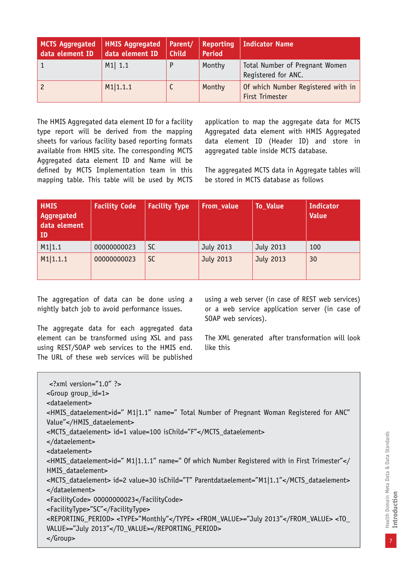| <b>MCTS Aggregated</b><br>data element ID | <b>HMIS Aggregated</b><br>data element ID | Parent/<br><b>Child</b> | Reporting<br><b>Period</b> | Indicator Name                                        |
|-------------------------------------------|-------------------------------------------|-------------------------|----------------------------|-------------------------------------------------------|
|                                           | $M1$ 1.1                                  |                         | Monthy                     | Total Number of Pregnant Women<br>Registered for ANC. |
| $\overline{c}$                            | M1 1.1.1                                  |                         | Monthy                     | Of which Number Registered with in<br>First Trimester |

The HMIS Aggregated data element ID for a facility type report will be derived from the mapping sheets for various facility based reporting formats available from HMIS site. The corresponding MCTS Aggregated data element ID and Name will be defined by MCTS Implementation team in this mapping table. This table will be used by MCTS application to map the aggregate data for MCTS Aggregated data element with HMIS Aggregated data element ID (Header ID) and store in aggregated table inside MCTS database.

The aggregated MCTS data in Aggregate tables will be stored in MCTS database as follows

| <b>HMIS</b><br>Aggregated<br>data element<br>ID | <b>Facility Code</b> | <b>Facility Type</b> | From_value | <b>To_Value</b> | <b>Indicator</b><br><b>Value</b> |
|-------------------------------------------------|----------------------|----------------------|------------|-----------------|----------------------------------|
| M1 1.1                                          | 00000000023          | <b>SC</b>            | July 2013  | July 2013       | 100                              |
| M1 1.1.1                                        | 00000000023          | <b>SC</b>            | July 2013  | July 2013       | 30                               |

The aggregation of data can be done using a nightly batch job to avoid performance issues.

The aggregate data for each aggregated data element can be transformed using XSL and pass using REST/SOAP web services to the HMIS end. The URL of these web services will be published

using a web server (in case of REST web services) or a web service application server (in case of SOAP web services).

The XML generated after transformation will look like this

| $\leq$ ?xml version="1.0" ?><br>$\leq$ Group qroup_id=1>                                                                                  |
|-------------------------------------------------------------------------------------------------------------------------------------------|
| <dataelement></dataelement>                                                                                                               |
| <hmis_dataelement>id=" M1 1.1" name=" Total Number of Pregnant Woman Registered for ANC"</hmis_dataelement>                               |
| Value"                                                                                                                                    |
| <mcts_dataelement> id=1 value=100 isChild="F"</mcts_dataelement>                                                                          |
|                                                                                                                                           |
| <dataelement></dataelement>                                                                                                               |
| <hmis_dataelement>id=" M1 1.1.1" name=" Of which Number Registered with in First Trimester"<!--</td--></hmis_dataelement>                 |
| HMIS dataelement>                                                                                                                         |
| <mcts_dataelement> id=2 value=30 isChild="T" Parentdataelement="M1 1.1"</mcts_dataelement><br>                                            |
| <facilitycode> 00000000023</facilitycode>                                                                                                 |
|                                                                                                                                           |
| <facilitytype>"SC"</facilitytype>                                                                                                         |
| <reporting_period> <type>"Monthly"</type> <from_value>="July 2013"</from_value> <to_<br>VALUE&gt;="July 2013"</to_<br></reporting_period> |
| $\langle$ Group>                                                                                                                          |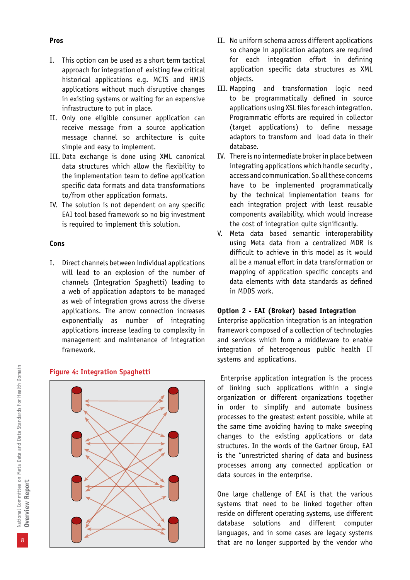- I. This option can be used as a short term tactical approach for integration of existing few critical historical applications e.g. MCTS and HMIS applications without much disruptive changes in existing systems or waiting for an expensive infrastructure to put in place.
- II. Only one eligible consumer application can receive message from a source application message channel so architecture is quite simple and easy to implement.
- III. Data exchange is done using XML canonical data structures which allow the flexibility to the implementation team to define application specific data formats and data transformations to/from other application formats.
- IV. The solution is not dependent on any specific EAI tool based framework so no big investment is required to implement this solution.

#### **Cons**

I. Direct channels between individual applications will lead to an explosion of the number of channels (Integration Spaghetti) leading to a web of application adaptors to be managed as web of integration grows across the diverse applications. The arrow connection increases exponentially as number of integrating applications increase leading to complexity in management and maintenance of integration framework.

#### **Figure 4: Integration Spaghetti**



- II. No uniform schema across different applications so change in application adaptors are required for each integration effort in defining application specific data structures as XML objects.
- III. Mapping and transformation logic need to be programmatically defined in source applications using XSL files for each integration. Programmatic efforts are required in collector (target applications) to define message adaptors to transform and load data in their database.
- IV. There is no intermediate broker in place between integrating applications which handle security , access and communication. So all these concerns have to be implemented programmatically by the technical implementation teams for each integration project with least reusable components availability, which would increase the cost of integration quite significantly.
- V. Meta data based semantic interoperability using Meta data from a centralized MDR is difficult to achieve in this model as it would all be a manual effort in data transformation or mapping of application specific concepts and data elements with data standards as defined in MDDS work.

#### **Option 2 - EAI (Broker) based Integration**

Enterprise application integration is an integration framework composed of a collection of technologies and services which form a middleware to enable integration of heterogenous public health IT systems and applications.

 Enterprise application integration is the process of linking such applications within a single organization or different organizations together in order to simplify and automate business processes to the greatest extent possible, while at the same time avoiding having to make sweeping changes to the existing applications or data structures. In the words of the Gartner Group, EAI is the "unrestricted sharing of data and business processes among any connected application or data sources in the enterprise.

One large challenge of EAI is that the various systems that need to be linked together often reside on different operating systems, use different database solutions and different computer languages, and in some cases are legacy systems that are no longer supported by the vendor who

#### **Pros**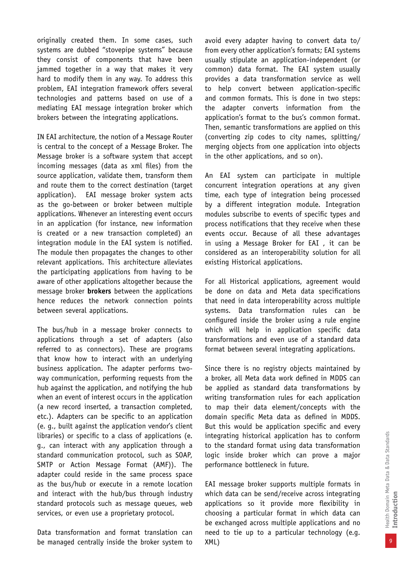originally created them. In some cases, such systems are dubbed "stovepipe systems" because they consist of components that have been jammed together in a way that makes it very hard to modify them in any way. To address this problem, EAI integration framework offers several technologies and patterns based on use of a mediating EAI message integration broker which brokers between the integrating applications.

IN EAI architecture, the notion of a Message Router is central to the concept of a Message Broker. The Message broker is a software system that accept incoming messages (data as xml files) from the source application, validate them, transform them and route them to the correct destination (target application). EAI message broker system acts as the go-between or broker between multiple applications. Whenever an interesting event occurs in an application (for instance, new information is created or a new transaction completed) an integration module in the EAI system is notified. The module then propagates the changes to other relevant applications. This architecture alleviates the participating applications from having to be aware of other applications altogether because the message broker **brokers** between the applications hence reduces the network connection points between several applications.

The bus/hub in a message broker connects to applications through a set of adapters (also referred to as connectors). These are programs that know how to interact with an underlying business application. The adapter performs twoway communication, performing requests from the hub against the application, and notifying the hub when an event of interest occurs in the application (a new record inserted, a transaction completed, etc.). Adapters can be specific to an application (e. g., built against the application vendor's client libraries) or specific to a class of applications (e. g., can interact with any application through a standard communication protocol, such as SOAP, SMTP or Action Message Format (AMF)). The adapter could reside in the same process space as the bus/hub or execute in a remote location and interact with the hub/bus through industry standard protocols such as message queues, web services, or even use a proprietary protocol.

Data transformation and format translation can be managed centrally inside the broker system to avoid every adapter having to convert data to/ from every other application's formats; EAI systems usually stipulate an application-independent (or common) data format. The EAI system usually provides a data transformation service as well to help convert between application-specific and common formats. This is done in two steps: the adapter converts information from the application's format to the bus's common format. Then, semantic transformations are applied on this (converting zip codes to city names, splitting/ merging objects from one application into objects in the other applications, and so on).

An EAI system can participate in multiple concurrent integration operations at any given time, each type of integration being processed by a different integration module. Integration modules subscribe to events of specific types and process notifications that they receive when these events occur. Because of all these advantages in using a Message Broker for EAI , it can be considered as an interoperability solution for all existing Historical applications.

For all Historical applications, agreement would be done on data and Meta data specifications that need in data interoperability across multiple systems. Data transformation rules can be configured inside the broker using a rule engine which will help in application specific data transformations and even use of a standard data format between several integrating applications.

Since there is no registry objects maintained by a broker, all Meta data work defined in MDDS can be applied as standard data transformations by writing transformation rules for each application to map their data element/concepts with the domain specific Meta data as defined in MDDS. But this would be application specific and every integrating historical application has to conform to the standard format using data transformation logic inside broker which can prove a major performance bottleneck in future.

EAI message broker supports multiple formats in which data can be send/receive across integrating applications so it provide more flexibility in choosing a particular format in which data can be exchanged across multiple applications and no need to tie up to a particular technology (e.g. XML)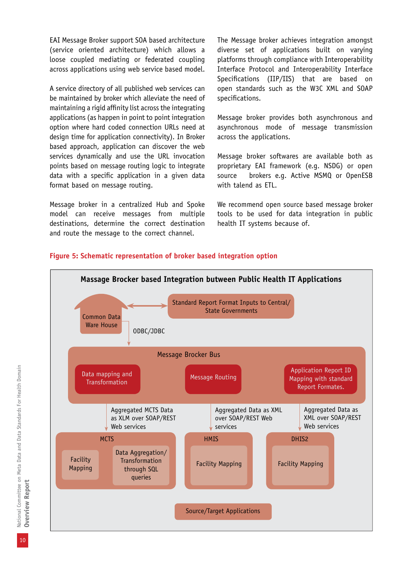EAI Message Broker support SOA based architecture (service oriented architecture) which allows a loose coupled mediating or federated coupling across applications using web service based model.

A service directory of all published web services can be maintained by broker which alleviate the need of maintaining a rigid affinity list across the integrating applications (as happen in point to point integration option where hard coded connection URLs need at design time for application connectivity). In Broker based approach, application can discover the web services dynamically and use the URL invocation points based on message routing logic to integrate data with a specific application in a given data format based on message routing.

Message broker in a centralized Hub and Spoke model can receive messages from multiple destinations, determine the correct destination and route the message to the correct channel.

The Message broker achieves integration amongst diverse set of applications built on varying platforms through compliance with Interoperability Interface Protocol and Interoperability Interface Specifications (IIP/IIS) that are based on open standards such as the W3C XML and SOAP specifications.

Message broker provides both asynchronous and asynchronous mode of message transmission across the applications.

Message broker softwares are available both as proprietary EAI framework (e.g. NSDG) or open source brokers e.g. Active MSMQ or OpenESB with talend as ETL.

We recommend open source based message broker tools to be used for data integration in public health IT systems because of.

#### **Figure 5: Schematic representation of broker based integration option**

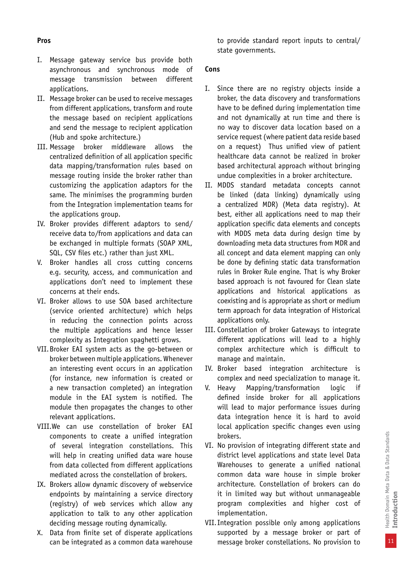- I. Message gateway service bus provide both asynchronous and synchronous mode of message transmission between different applications.
- II. Message broker can be used to receive messages from different applications, transform and route the message based on recipient applications and send the message to recipient application (Hub and spoke architecture.)
- III. Message broker middleware allows the centralized definition of all application specific data mapping/transformation rules based on message routing inside the broker rather than customizing the application adaptors for the same. The minimises the programming burden from the Integration implementation teams for the applications group.
- IV. Broker provides different adaptors to send/ receive data to/from applications and data can be exchanged in multiple formats (SOAP XML, SQL, CSV files etc.) rather than just XML.
- V. Broker handles all cross cutting concerns e.g. security, access, and communication and applications don't need to implement these concerns at their ends.
- VI. Broker allows to use SOA based architecture (service oriented architecture) which helps in reducing the connection points across the multiple applications and hence lesser complexity as Integration spaghetti grows.
- VII.Broker EAI system acts as the go-between or broker between multiple applications. Whenever an interesting event occurs in an application (for instance, new information is created or a new transaction completed) an integration module in the EAI system is notified. The module then propagates the changes to other relevant applications.
- VIII.We can use constellation of broker EAI components to create a unified integration of several integration constellations. This will help in creating unified data ware house from data collected from different applications mediated across the constellation of brokers.
- IX. Brokers allow dynamic discovery of webservice endpoints by maintaining a service directory (registry) of web services which allow any application to talk to any other application deciding message routing dynamically.
- X. Data from finite set of disperate applications can be integrated as a common data warehouse

to provide standard report inputs to central/ state governments.

#### **Cons**

- I. Since there are no registry objects inside a broker, the data discovery and transformations have to be defined during implementation time and not dynamically at run time and there is no way to discover data location based on a service request (where patient data reside based on a request) Thus unified view of patient healthcare data cannot be realized in broker based architectural approach without bringing undue complexities in a broker architecture.
- II. MDDS standard metadata concepts cannot be linked (data linking) dynamically using a centralized MDR) (Meta data registry). At best, either all applications need to map their application specific data elements and concepts with MDDS meta data during design time by downloading meta data structures from MDR and all concept and data element mapping can only be done by defining static data transformation rules in Broker Rule engine. That is why Broker based approach is not favoured for Clean slate applications and historical applications as coexisting and is appropriate as short or medium term approach for data integration of Historical applications only.
- III. Constellation of broker Gateways to integrate different applications will lead to a highly complex architecture which is difficult to manage and maintain.
- IV. Broker based integration architecture is complex and need specialization to manage it.
- V. Heavy Mapping/transformation logic if defined inside broker for all applications will lead to major performance issues during data integration hence it is hard to avoid local application specific changes even using brokers.
- VI. No provision of integrating different state and district level applications and state level Data Warehouses to generate a unified national common data ware house in simple broker architecture. Constellation of brokers can do it in limited way but without unmanageable program complexities and higher cost of implementation.
- VII.Integration possible only among applications supported by a message broker or part of message broker constellations. No provision to

11

#### **Pros**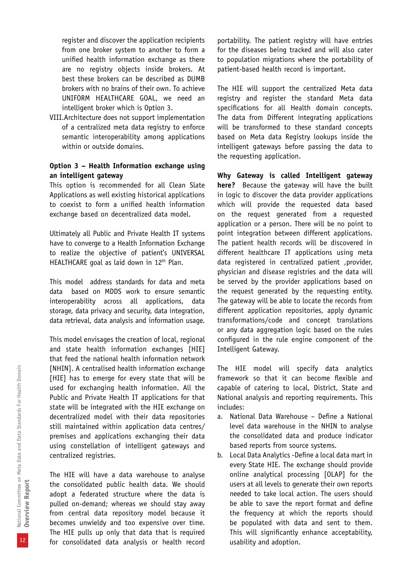register and discover the application recipients from one broker system to another to form a unified health information exchange as there are no registry objects inside brokers. At best these brokers can be described as DUMB brokers with no brains of their own. To achieve UNIFORM HEALTHCARE GOAL, we need an intelligent broker which is Option 3.

VIII.Architecture does not support implementation of a centralized meta data registry to enforce semantic interoperability among applications within or outside domains.

#### **Option 3 – Health Information exchange using an intelligent gateway**

This option is recommended for all Clean Slate Applications as well existing historical applications to coexist to form a unified health information exchange based on decentralized data model.

Ultimately all Public and Private Health IT systems have to converge to a Health Information Exchange to realize the objective of patient's UNIVERSAL HEALTHCARE goal as laid down in 12<sup>th</sup> Plan.

This model address standards for data and meta data based on MDDS work to ensure semantic interoperability across all applications, data storage, data privacy and security, data integration, data retrieval, data analysis and information usage.

This model envisages the creation of local, regional and state health information exchanges [HIE] that feed the national health information network [NHIN]. A centralised health information exchange [HIE] has to emerge for every state that will be used for exchanging health information. All the Public and Private Health IT applications for that state will be integrated with the HIE exchange on decentralized model with their data repositories still maintained within application data centres/ premises and applications exchanging their data using constellation of intelligent gateways and centralized registries.

The HIE will have a data warehouse to analyse the consolidated public health data. We should adopt a federated structure where the data is pulled on-demand; whereas we should stay away from central data repository model because it becomes unwieldy and too expensive over time. The HIE pulls up only that data that is required for consolidated data analysis or health record

portability. The patient registry will have entries for the diseases being tracked and will also cater to population migrations where the portability of patient-based health record is important.

The HIE will support the centralized Meta data registry and register the standard Meta data specifications for all Health domain concepts. The data from Different integrating applications will be transformed to these standard concepts based on Meta data Registry lookups inside the intelligent gateways before passing the data to the requesting application.

**Why Gateway is called Intelligent gateway here?** Because the gateway will have the built in logic to discover the data provider applications which will provide the requested data based on the request generated from a requested application or a person. There will be no point to point integration between different applications. The patient health records will be discovered in different healthcare IT applications using meta data registered in centralized patient ,provider, physician and disease registries and the data will be served by the provider applications based on the request generated by the requesting entity. The gateway will be able to locate the records from different application repositories, apply dynamic transformations/code and concept translations or any data aggregation logic based on the rules configured in the rule engine component of the Intelligent Gateway.

The HIE model will specify data analytics framework so that it can become flexible and capable of catering to local, District, State and National analysis and reporting requirements. This includes:

- a. National Data Warehouse Define a National level data warehouse in the NHIN to analyse the consolidated data and produce indicator based reports from source systems.
- b. Local Data Analytics -Define a local data mart in every State HIE. The exchange should provide online analytical processing [OLAP] for the users at all levels to generate their own reports needed to take local action. The users should be able to save the report format and define the frequency at which the reports should be populated with data and sent to them. This will significantly enhance acceptability, usability and adoption.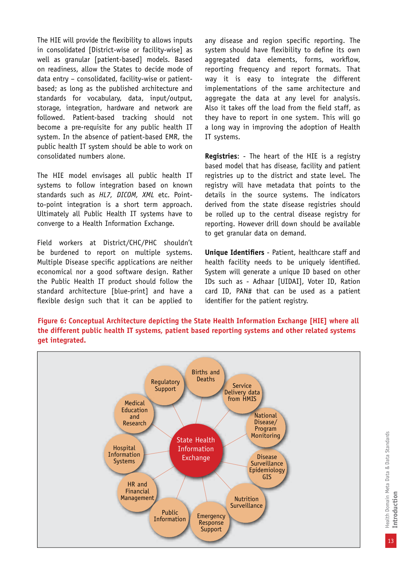The HIE will provide the flexibility to allows inputs in consolidated [District-wise or facility-wise] as well as granular [patient-based] models. Based on readiness, allow the States to decide mode of data entry – consolidated, facility-wise or patientbased; as long as the published architecture and standards for vocabulary, data, input/output, storage, integration, hardware and network are followed. Patient-based tracking should not become a pre-requisite for any public health IT system. In the absence of patient-based EMR, the public health IT system should be able to work on consolidated numbers alone.

The HIE model envisages all public health IT systems to follow integration based on known standards such as *HL7, DICOM, XML* etc. Pointto-point integration is a short term approach. Ultimately all Public Health IT systems have to converge to a Health Information Exchange.

Field workers at District/CHC/PHC shouldn't be burdened to report on multiple systems. Multiple Disease specific applications are neither economical nor a good software design. Rather the Public Health IT product should follow the standard architecture [blue-print] and have a flexible design such that it can be applied to

any disease and region specific reporting. The system should have flexibility to define its own aggregated data elements, forms, workflow, reporting frequency and report formats. That way it is easy to integrate the different implementations of the same architecture and aggregate the data at any level for analysis. Also it takes off the load from the field staff, as they have to report in one system. This will go a long way in improving the adoption of Health IT systems.

**Registries**: - The heart of the HIE is a registry based model that has disease, facility and patient registries up to the district and state level. The registry will have metadata that points to the details in the source systems. The indicators derived from the state disease registries should be rolled up to the central disease registry for reporting. However drill down should be available to get granular data on demand.

**Unique Identifiers** - Patient, healthcare staff and health facility needs to be uniquely identified. System will generate a unique ID based on other IDs such as - Adhaar [UIDAI], Voter ID, Ration card ID, PAN# that can be used as a patient identifier for the patient registry.

**Figure 6: Conceptual Architecture depicting the State Health Information Exchange [HIE] where all the different public health IT systems, patient based reporting systems and other related systems get integrated.**

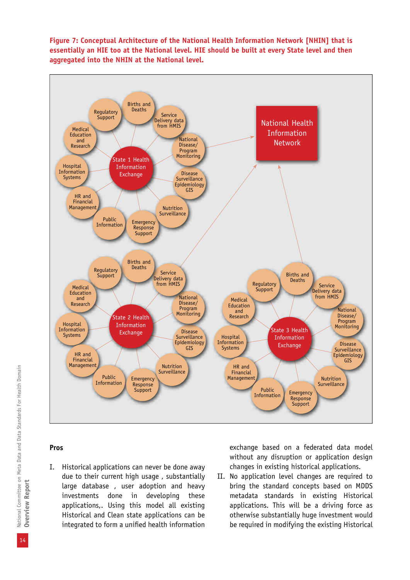



#### **Pros**

I. Historical applications can never be done away due to their current high usage , substantially large database , user adoption and heavy investments done in developing these applications,. Using this model all existing Historical and Clean state applications can be integrated to form a unified health information

exchange based on a federated data model without any disruption or application design changes in existing historical applications.

II. No application level changes are required to bring the standard concepts based on MDDS metadata standards in existing Historical applications. This will be a driving force as otherwise substantially huge investment would be required in modifying the existing Historical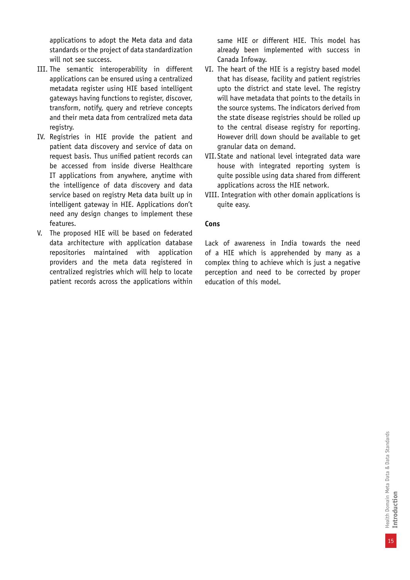applications to adopt the Meta data and data standards or the project of data standardization will not see success.

- III. The semantic interoperability in different applications can be ensured using a centralized metadata register using HIE based intelligent gateways having functions to register, discover, transform, notify, query and retrieve concepts and their meta data from centralized meta data registry.
- IV. Registries in HIE provide the patient and patient data discovery and service of data on request basis. Thus unified patient records can be accessed from inside diverse Healthcare IT applications from anywhere, anytime with the intelligence of data discovery and data service based on registry Meta data built up in intelligent gateway in HIE. Applications don't need any design changes to implement these features.
- V. The proposed HIE will be based on federated data architecture with application database repositories maintained with application providers and the meta data registered in centralized registries which will help to locate patient records across the applications within

same HIE or different HIE. This model has already been implemented with success in Canada Infoway.

- VI. The heart of the HIE is a registry based model that has disease, facility and patient registries upto the district and state level. The registry will have metadata that points to the details in the source systems. The indicators derived from the state disease registries should be rolled up to the central disease registry for reporting. However drill down should be available to get granular data on demand.
- VII.State and national level integrated data ware house with integrated reporting system is quite possible using data shared from different applications across the HIE network.
- VIII. Integration with other domain applications is quite easy.

#### **Cons**

Lack of awareness in India towards the need of a HIE which is apprehended by many as a complex thing to achieve which is just a negative perception and need to be corrected by proper education of this model.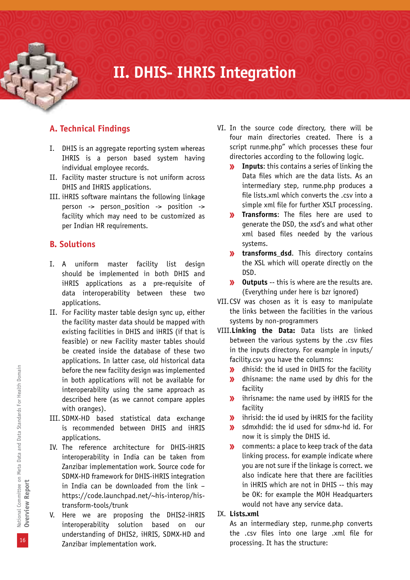### **II. DHIS- IHRIS Integration**

#### **A. Technical Findings**

- I. DHIS is an aggregate reporting system whereas IHRIS is a person based system having individual employee records.
- II. Facility master structure is not uniform across DHIS and IHRIS applications.
- III. iHRIS software maintans the following linkage person -> person\_position -> position -> facility which may need to be customized as per Indian HR requirements.

#### **B. Solutions**

- I. A uniform master facility list design should be implemented in both DHIS and iHRIS applications as a pre-requisite of data interoperability between these two applications.
- II. For Facility master table design sync up, either the facility master data should be mapped with existing facilities in DHIS and iHRIS (if that is feasible) or new Facility master tables should be created inside the database of these two applications. In latter case, old historical data before the new facility design was implemented in both applications will not be available for interoperability using the same approach as described here (as we cannot compare apples with oranges).
- III. SDMX-HD based statistical data exchange is recommended between DHIS and iHRIS applications.
- IV. The reference architecture for DHIS-iHRIS interoperability in India can be taken from Zanzibar implementation work. Source code for SDMX-HD framework for DHIS-iHRIS integration in India can be downloaded from the link – https://code.launchpad.net/~his-interop/histransform-tools/trunk
- V. Here we are proposing the DHIS2-iHRIS interoperability solution based on our understanding of DHIS2, iHRIS, SDMX-HD and Zanzibar implementation work.
- VI. In the source code directory, there will be four main directories created. There is a script runme.php" which processes these four directories according to the following logic.
	- **Inputs**: this contains a series of linking the Data files which are the data lists. As an intermediary step, runme.php produces a file lists.xml which converts the .csv into a simple xml file for further XSLT processing.
	- **Transforms**: The files here are used to  $\mathbf{y}$ generate the DSD, the xsd's and what other xml based files needed by the various systems.
	- *transforms dsd.* This directory contains the XSL which will operate directly on the DSD.
	- *W* Outputs -- this is where are the results are. (Everything under here is bzr ignored)
- VII.CSV was chosen as it is easy to manipulate the links between the facilities in the various systems by non-programmers
- VIII.**Linking the Data:** Data lists are linked between the various systems by the .csv files in the inputs directory. For example in inputs/ facility.csv you have the columns:
	- dhisid: the id used in DHIS for the facility  $\mathbf{w}$
	- dhisname: the name used by dhis for the  $\mathbf{M}$ facility
	- **»** ihrisname: the name used by iHRIS for the facility
	- $\lambda$  ihrisid: the id used by iHRIS for the facility
	- sdmxhdid: the id used for sdmx-hd id. For  $\mathbf{W}$ now it is simply the DHIS id.
	- comments: a place to keep track of the data  $\mathbf{v}$ linking process. for example indicate where you are not sure if the linkage is correct. we also indicate here that there are facilities in iHRIS which are not in DHIS -- this may be OK: for example the MOH Headquarters would not have any service data.

#### IX. **Lists.xml**

As an intermediary step, runme.php converts the .csv files into one large .xml file for processing. It has the structure: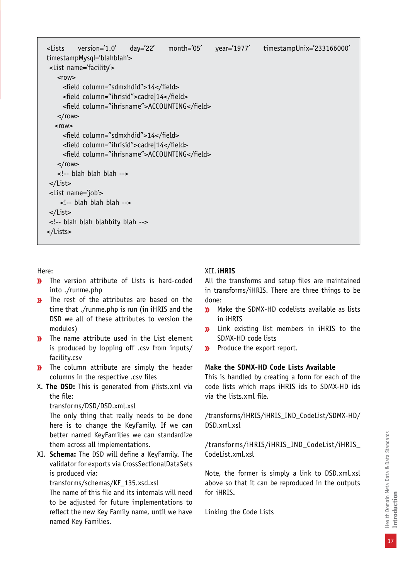| <lists< th=""><th>version='1.0' day='22'<br/>timestampMysql='blahblah'&gt;<br/><list name="facility"></list></th><th>month='05'</th><th>year='1977'</th><th>timestampUnix='233166000'</th></lists<> | version='1.0' day='22'<br>timestampMysql='blahblah'><br><list name="facility"></list> | month='05' | year='1977' | timestampUnix='233166000' |
|-----------------------------------------------------------------------------------------------------------------------------------------------------------------------------------------------------|---------------------------------------------------------------------------------------|------------|-------------|---------------------------|
| $<$ row $>$                                                                                                                                                                                         | <field column="sdmxhdid">14</field>                                                   |            |             |                           |
|                                                                                                                                                                                                     | <field column="ihrisid">cadre 14</field>                                              |            |             |                           |
|                                                                                                                                                                                                     | <field column="ihrisname">ACCOUNTING</field>                                          |            |             |                           |
| $\frac{2}{100}$                                                                                                                                                                                     |                                                                                       |            |             |                           |
| $<$ row $>$                                                                                                                                                                                         |                                                                                       |            |             |                           |
|                                                                                                                                                                                                     | <field column="sdmxhdid">14</field>                                                   |            |             |                           |
|                                                                                                                                                                                                     | <field column="ihrisid">cadre 14</field>                                              |            |             |                           |
|                                                                                                                                                                                                     | <field column="ihrisname">ACCOUNTING</field>                                          |            |             |                           |
| $\langle$ row>                                                                                                                                                                                      |                                                                                       |            |             |                           |
|                                                                                                                                                                                                     | blah blah blah                                                                        |            |             |                           |
| $\frac{2}{1}$                                                                                                                                                                                       |                                                                                       |            |             |                           |
|                                                                                                                                                                                                     | <list name="job"></list>                                                              |            |             |                           |
|                                                                                                                                                                                                     | $\leq$ !-- blah blah blah -->                                                         |            |             |                           |
| $\frac{2}{1}$                                                                                                                                                                                       |                                                                                       |            |             |                           |
|                                                                                                                                                                                                     | blah blah blahbity blah                                                               |            |             |                           |
|                                                                                                                                                                                                     |                                                                                       |            |             |                           |

Here:

- $\mathbf{v}$ The version attribute of Lists is hard-coded into ./runme.php
- The rest of the attributes are based on the  $\mathbf{w}$ time that ./runme.php is run (in iHRIS and the DSD we all of these attributes to version the modules)
- **W** The name attribute used in the List element is produced by lopping off .csv from inputs/ facility.csv
- **»** The column attribute are simply the header columns in the respective .csv files
- X. **The DSD:** This is generated from #lists.xml via the file:

transforms/DSD/DSD.xml.xsl

The only thing that really needs to be done here is to change the KeyFamily. If we can better named KeyFamilies we can standardize them across all implementations.

XI. **Schema:** The DSD will define a KeyFamily. The validator for exports via CrossSectionalDataSets is produced via:

transforms/schemas/KF\_135.xsd.xsl

The name of this file and its internals will need to be adjusted for future implementations to reflect the new Key Family name, until we have named Key Families.

#### XII.**iHRIS**

All the transforms and setup files are maintained in transforms/iHRIS. There are three things to be done:

- Make the SDMX-HD codelists available as lists  $\mathbf{v}$ in iHRIS
- Link existing list members in iHRIS to the  $\mathbf{w}$ SDMX-HD code lists
- Produce the export report.  $\mathbf{v}$

#### **Make the SDMX-HD Code Lists Available**

This is handled by creating a form for each of the code lists which maps iHRIS ids to SDMX-HD ids via the lists.xml file.

/transforms/iHRIS/iHRIS\_IND\_CodeList/SDMX-HD/ DSD.xml.xsl

/transforms/iHRIS/iHRIS\_IND\_CodeList/iHRIS\_ CodeList.xml.xsl

Note, the former is simply a link to DSD.xml.xsl above so that it can be reproduced in the outputs for iHRIS.

Linking the Code Lists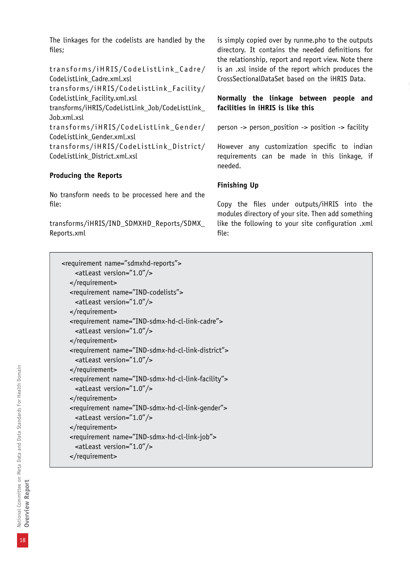The linkages for the codelists are handled by the files;

transforms/iHRIS/CodeListLink\_Cadre/ CodeListLink\_Cadre.xml.xsl transforms/iHRIS/CodeListLink\_Facility/ CodeListLink\_Facility.xml.xsl transforms/iHRIS/CodeListLink\_Job/CodeListLink\_ Job.xml.xsl transforms/iHRIS/CodeListLink\_Gender/ CodeListLink\_Gender.xml.xsl transforms/iHRIS/CodeListLink\_District/ CodeListLink\_District.xml.xsl

#### **Producing the Reports**

No transform needs to be processed here and the file:

transforms/iHRIS/IND\_SDMXHD\_Reports/SDMX\_ Reports.xml

is simply copied over by runme.pho to the outputs directory. It contains the needed definitions for the relationship, report and report view. Note there is an .xsl inside of the report which produces the CrossSectionalDataSet based on the iHRIS Data.

#### **Normally the linkage between people and facilities in iHRIS is like this**

person -> person\_position -> position -> facility

However any customization specific to indian requirements can be made in this linkage, if needed.

#### **Finishing Up**

Copy the files under outputs/iHRIS into the modules directory of your site. Then add something like the following to your site configuration .xml file:

```
 <requirement name="sdmxhd-reports">
  <atLeast version="1.0"/>
</requirement>
<requirement name="IND-codelists">
  <atLeast version="1.0"/>
</requirement>
<requirement name="IND-sdmx-hd-cl-link-cadre">
  <atLeast version="1.0"/>
</requirement>
<requirement name="IND-sdmx-hd-cl-link-district">
  <atLeast version="1.0"/>
</requirement>
<requirement name="IND-sdmx-hd-cl-link-facility">
  <atLeast version="1.0"/>
</requirement>
<requirement name="IND-sdmx-hd-cl-link-gender">
  <atLeast version="1.0"/>
</requirement>
<requirement name="IND-sdmx-hd-cl-link-job">
  <atLeast version="1.0"/>
</requirement>
```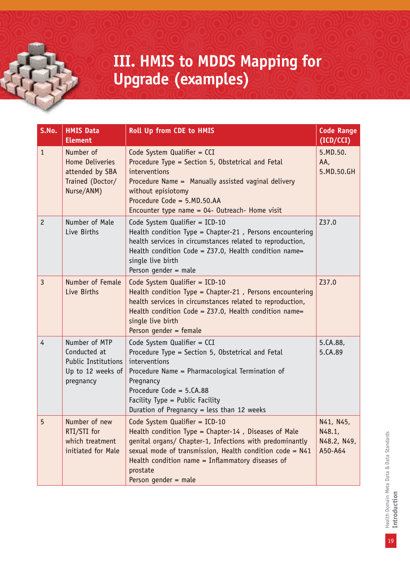### **III. HMIS to MDDS Mapping for Upgrade (examples)**

| S.No.          | <b>HMIS Data</b><br><b>Element</b>                                                            | <b>Roll Up from CDE to HMIS</b>                                                                                                                                                                                                                                                                              | <b>Code Range</b><br>(ICD/CCI)                |
|----------------|-----------------------------------------------------------------------------------------------|--------------------------------------------------------------------------------------------------------------------------------------------------------------------------------------------------------------------------------------------------------------------------------------------------------------|-----------------------------------------------|
| $\mathbf{1}$   | Number of<br><b>Home Deliveries</b><br>attended by SBA<br>Trained (Doctor/<br>Nurse/ANM)      | Code System Qualifier = CCI<br>Procedure Type = Section 5, Obstetrical and Fetal<br>interventions<br>Procedure Name = Manually assisted vaginal delivery<br>without episiotomy<br>Procedure Code = 5.MD.50.AA<br>Encounter type name = 04- Outreach- Home visit                                              | 5.MD.50.<br>AA,<br>5.MD.50.GH                 |
| $\overline{c}$ | Number of Male<br>Live Births                                                                 | Code System Qualifier = ICD-10<br>Health condition Type = Chapter-21, Persons encountering<br>health services in circumstances related to reproduction,<br>Health condition Code = $Z37.0$ , Health condition name=<br>single live birth<br>Person gender = male                                             | Z37.0                                         |
| $\overline{3}$ | Number of Female<br>Live Births                                                               | Code System Qualifier = $ICD-10$<br>Health condition Type = Chapter-21, Persons encountering<br>health services in circumstances related to reproduction,<br>Health condition Code = $Z37.0$ , Health condition name=<br>single live birth<br>Person gender = female                                         | Z37.0                                         |
| $\overline{4}$ | Number of MTP<br>Conducted at<br><b>Public Institutions</b><br>Up to 12 weeks of<br>pregnancy | Code System Qualifier = CCI<br>Procedure Type = Section 5, Obstetrical and Fetal<br>interventions<br>Procedure Name = Pharmacological Termination of<br>Pregnancy<br>Procedure Code = 5.CA.88<br>Facility Type = Public Facility<br>Duration of Pregnancy = less than 12 weeks                               | 5.CA.88,<br>5.CA.89                           |
| 5              | Number of new<br>RTI/STI for<br>which treatment<br>initiated for Male                         | Code System Qualifier = $ICD-10$<br>Health condition Type = Chapter-14, Diseases of Male<br>genital organs/ Chapter-1, Infections with predominantly<br>sexual mode of transmission, Health condition code = $N41$<br>Health condition name = Inflammatory diseases of<br>prostate<br>Person gender = $male$ | N41, N45,<br>N48.1,<br>N48.2, N49,<br>A50-A64 |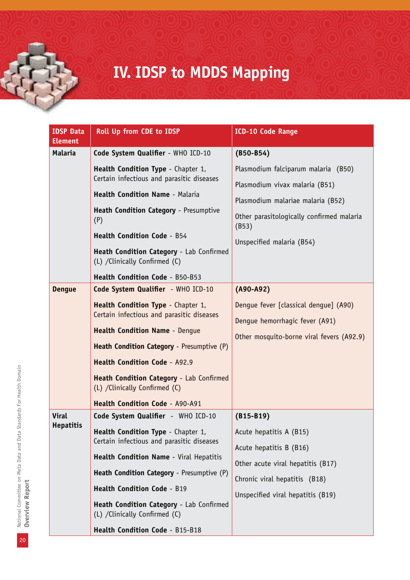# **IV. IDSP to MDDS Mapping**

| <b>IDSP Data</b><br><b>Element</b> | Roll Up from CDE to IDSP                                                                                                                                                                                                                                                                                                                                              | <b>ICD-10 Code Range</b>                                                                                                                                                                      |
|------------------------------------|-----------------------------------------------------------------------------------------------------------------------------------------------------------------------------------------------------------------------------------------------------------------------------------------------------------------------------------------------------------------------|-----------------------------------------------------------------------------------------------------------------------------------------------------------------------------------------------|
| Malaria                            | Code System Qualifier - WHO ICD-10                                                                                                                                                                                                                                                                                                                                    | $(B50 - B54)$                                                                                                                                                                                 |
|                                    | Health Condition Type - Chapter 1,<br>Certain infectious and parasitic diseases<br>Health Condition Name - Malaria<br>Heath Condition Category - Presumptive<br>(P)<br><b>Health Condition Code - B54</b><br>Heath Condition Category - Lab Confirmed<br>(L) / Clinically Confirmed (C)<br>Health Condition Code - B50-B53                                            | Plasmodium falciparum malaria (B50)<br>Plasmodium vivax malaria (B51)<br>Plasmodium malariae malaria (B52)<br>Other parasitologically confirmed malaria<br>(B53)<br>Unspecified malaria (B54) |
| <b>Denque</b>                      | Code System Qualifier - WHO ICD-10<br>Health Condition Type - Chapter 1,<br>Certain infectious and parasitic diseases<br><b>Health Condition Name - Dengue</b><br>Heath Condition Category - Presumptive (P)<br><b>Health Condition Code - A92.9</b><br>Heath Condition Category - Lab Confirmed<br>(L) / Clinically Confirmed (C)<br>Health Condition Code - A90-A91 | $(A90-A92)$<br>Dengue fever [classical dengue] (A90)<br>Dengue hemorrhagic fever (A91)<br>Other mosquito-borne viral fevers (A92.9)                                                           |
| <b>Viral</b><br><b>Hepatitis</b>   | Code System Qualifier - WHO ICD-10<br>Health Condition Type - Chapter 1,<br>Certain infectious and parasitic diseases<br>Health Condition Name - Viral Hepatitis<br>Heath Condition Category - Presumptive (P)<br><b>Health Condition Code - B19</b><br>Heath Condition Category - Lab Confirmed<br>(L) / Clinically Confirmed (C)<br>Health Condition Code - B15-B18 | $(B15-B19)$<br>Acute hepatitis A (B15)<br>Acute hepatitis B (B16)<br>Other acute viral hepatitis (B17)<br>Chronic viral hepatitis (B18)<br>Unspecified viral hepatitis (B19)                  |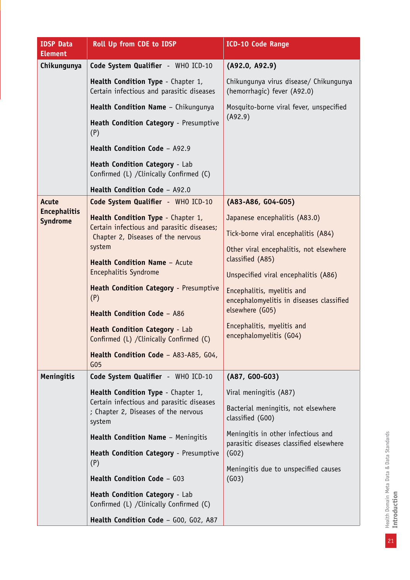| <b>IDSP Data</b><br><b>Element</b>     | Roll Up from CDE to IDSP                                                                                                                             | <b>ICD-10 Code Range</b>                                               |
|----------------------------------------|------------------------------------------------------------------------------------------------------------------------------------------------------|------------------------------------------------------------------------|
| Chikungunya                            | Code System Qualifier - WHO ICD-10                                                                                                                   | (A92.0, A92.9)                                                         |
|                                        | Health Condition Type - Chapter 1,<br>Certain infectious and parasitic diseases                                                                      | Chikungunya virus disease/ Chikungunya<br>(hemorrhagic) fever (A92.0)  |
|                                        | Health Condition Name - Chikungunya                                                                                                                  | Mosquito-borne viral fever, unspecified                                |
|                                        | Heath Condition Category - Presumptive<br>(P)                                                                                                        | (A92.9)                                                                |
|                                        | Health Condition Code - A92.9                                                                                                                        |                                                                        |
|                                        | Heath Condition Category - Lab<br>Confirmed (L) / Clinically Confirmed (C)                                                                           |                                                                        |
|                                        | Health Condition Code - A92.0                                                                                                                        |                                                                        |
| Acute                                  | Code System Qualifier - WHO ICD-10                                                                                                                   | (A83-A86, G04-G05)                                                     |
| <b>Encephalitis</b><br><b>Syndrome</b> | Health Condition Type - Chapter 1,                                                                                                                   | Japanese encephalitis (A83.0)                                          |
|                                        | Certain infectious and parasitic diseases;<br>Chapter 2, Diseases of the nervous<br>system<br>Health Condition Name - Acute<br>Encephalitis Syndrome | Tick-borne viral encephalitis (A84)                                    |
|                                        |                                                                                                                                                      | Other viral encephalitis, not elsewhere<br>classified (A85)            |
|                                        |                                                                                                                                                      | Unspecified viral encephalitis (A86)                                   |
|                                        | Heath Condition Category - Presumptive<br>(P)                                                                                                        | Encephalitis, myelitis and<br>encephalomyelitis in diseases classified |
|                                        | Health Condition Code - A86                                                                                                                          | elsewhere (G05)                                                        |
|                                        | Heath Condition Category - Lab<br>Confirmed (L) / Clinically Confirmed (C)                                                                           | Encephalitis, myelitis and<br>encephalomyelitis (G04)                  |
|                                        | Health Condition Code - A83-A85, G04,<br>G <sub>05</sub>                                                                                             |                                                                        |
| <b>Meningitis</b>                      | Code System Qualifier - WHO ICD-10                                                                                                                   | (A87, G00-G03)                                                         |
|                                        | Health Condition Type - Chapter 1,                                                                                                                   | Viral meningitis (A87)                                                 |
|                                        | Certain infectious and parasitic diseases<br>; Chapter 2, Diseases of the nervous<br>system                                                          | Bacterial meningitis, not elsewhere<br>classified (G00)                |
|                                        | Health Condition Name - Meningitis                                                                                                                   | Meningitis in other infectious and                                     |
|                                        | Heath Condition Category - Presumptive<br>(P)                                                                                                        | parasitic diseases classified elsewhere<br>(GO2)                       |
|                                        | Health Condition Code - G03                                                                                                                          | Meningitis due to unspecified causes<br>(GO3)                          |
|                                        | Heath Condition Category - Lab<br>Confirmed (L) / Clinically Confirmed (C)                                                                           |                                                                        |
|                                        | Health Condition Code - G00, G02, A87                                                                                                                |                                                                        |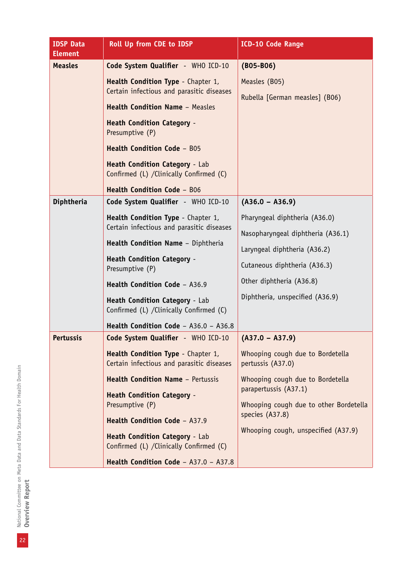| <b>IDSP Data</b><br><b>Element</b> | Roll Up from CDE to IDSP                                                                                                                                                                                                                                                                                                                                                                 | <b>ICD-10 Code Range</b>                                                                                                                                                                                                                    |
|------------------------------------|------------------------------------------------------------------------------------------------------------------------------------------------------------------------------------------------------------------------------------------------------------------------------------------------------------------------------------------------------------------------------------------|---------------------------------------------------------------------------------------------------------------------------------------------------------------------------------------------------------------------------------------------|
| <b>Measles</b>                     | Code System Qualifier - WHO ICD-10<br>Health Condition Type - Chapter 1,<br>Certain infectious and parasitic diseases<br><b>Health Condition Name - Measles</b><br><b>Heath Condition Category -</b><br>Presumptive (P)<br>Health Condition Code - B05<br>Heath Condition Category - Lab<br>Confirmed (L) / Clinically Confirmed (C)<br>Health Condition Code - B06                      | $(B05 - B06)$<br>Measles (B05)<br>Rubella [German measles] (B06)                                                                                                                                                                            |
| Diphtheria                         | Code System Qualifier - WHO ICD-10<br>Health Condition Type - Chapter 1,<br>Certain infectious and parasitic diseases<br>Health Condition Name - Diphtheria<br><b>Heath Condition Category -</b><br>Presumptive (P)<br>Health Condition Code - A36.9<br>Heath Condition Category - Lab<br>Confirmed (L) / Clinically Confirmed (C)<br>Health Condition Code - $A36.0 - A36.8$            | $(A36.0 - A36.9)$<br>Pharyngeal diphtheria (A36.0)<br>Nasopharyngeal diphtheria (A36.1)<br>Laryngeal diphtheria (A36.2)<br>Cutaneous diphtheria (A36.3)<br>Other diphtheria (A36.8)<br>Diphtheria, unspecified (A36.9)                      |
| <b>Pertussis</b>                   | Code System Qualifier - WHO ICD-10<br>Health Condition Type - Chapter 1,<br>Certain infectious and parasitic diseases<br><b>Health Condition Name - Pertussis</b><br><b>Heath Condition Category -</b><br>Presumptive (P)<br>Health Condition Code - A37.9<br><b>Heath Condition Category - Lab</b><br>Confirmed (L) / Clinically Confirmed (C)<br>Health Condition Code - A37.0 - A37.8 | $(A37.0 - A37.9)$<br>Whooping cough due to Bordetella<br>pertussis (A37.0)<br>Whooping cough due to Bordetella<br>parapertussis (A37.1)<br>Whooping cough due to other Bordetella<br>species (A37.8)<br>Whooping cough, unspecified (A37.9) |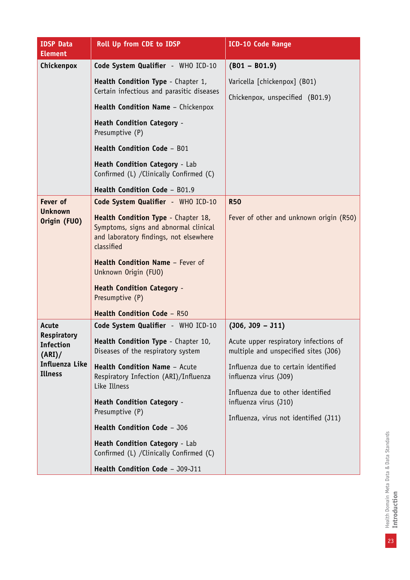| <b>IDSP Data</b><br><b>Element</b>       | <b>Roll Up from CDE to IDSP</b>                                                                                                      | <b>ICD-10 Code Range</b>                                                      |
|------------------------------------------|--------------------------------------------------------------------------------------------------------------------------------------|-------------------------------------------------------------------------------|
| Chickenpox                               | Code System Qualifier - WHO ICD-10                                                                                                   | $(B01 - B01.9)$                                                               |
|                                          | Health Condition Type - Chapter 1,<br>Certain infectious and parasitic diseases                                                      | Varicella [chickenpox] (B01)<br>Chickenpox, unspecified (B01.9)               |
|                                          | Health Condition Name - Chickenpox                                                                                                   |                                                                               |
|                                          | <b>Heath Condition Category -</b><br>Presumptive (P)                                                                                 |                                                                               |
|                                          | Health Condition Code - B01                                                                                                          |                                                                               |
|                                          | Heath Condition Category - Lab<br>Confirmed (L) / Clinically Confirmed (C)                                                           |                                                                               |
|                                          | Health Condition Code - B01.9                                                                                                        |                                                                               |
| Fever of                                 | Code System Qualifier - WHO ICD-10                                                                                                   | <b>R50</b>                                                                    |
| <b>Unknown</b><br>Origin (FUO)           | Health Condition Type - Chapter 18,<br>Symptoms, signs and abnormal clinical<br>and laboratory findings, not elsewhere<br>classified | Fever of other and unknown origin (R50)                                       |
|                                          | Health Condition Name - Fever of<br>Unknown Origin (FUO)                                                                             |                                                                               |
|                                          | <b>Heath Condition Category -</b><br>Presumptive (P)                                                                                 |                                                                               |
|                                          | <b>Health Condition Code - R50</b>                                                                                                   |                                                                               |
| Acute                                    | Code System Qualifier - WHO ICD-10                                                                                                   | $(306, 309 - 311)$                                                            |
| Respiratory<br><b>Infection</b><br>(ARI) | Health Condition Type - Chapter 10,<br>Diseases of the respiratory system                                                            | Acute upper respiratory infections of<br>multiple and unspecified sites (J06) |
| Influenza Like<br><b>Illness</b>         | Health Condition Name - Acute<br>Respiratory Infection (ARI)/Influenza                                                               | Influenza due to certain identified<br>influenza virus (J09)                  |
|                                          | Like Illness<br><b>Heath Condition Category -</b>                                                                                    | Influenza due to other identified<br>influenza virus (J10)                    |
|                                          | Presumptive (P)                                                                                                                      | Influenza, virus not identified (J11)                                         |
|                                          | Health Condition Code - J06                                                                                                          |                                                                               |
|                                          | Heath Condition Category - Lab<br>Confirmed (L) / Clinically Confirmed (C)                                                           |                                                                               |
|                                          | Health Condition Code - J09-J11                                                                                                      |                                                                               |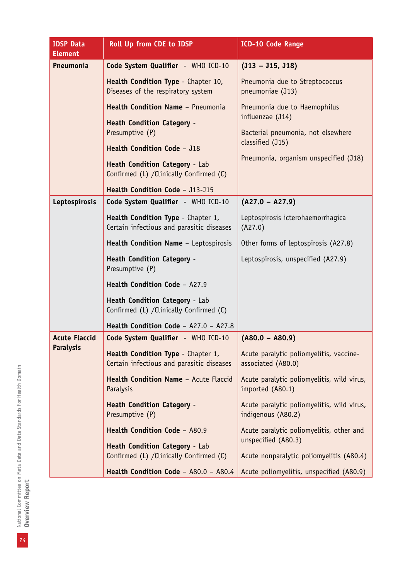| <b>IDSP Data</b><br><b>Element</b> | Roll Up from CDE to IDSP                                                                                                                                          | <b>ICD-10 Code Range</b>                                                                                                                            |
|------------------------------------|-------------------------------------------------------------------------------------------------------------------------------------------------------------------|-----------------------------------------------------------------------------------------------------------------------------------------------------|
| Pneumonia                          | Code System Qualifier - WHO ICD-10                                                                                                                                | $(J13 - J15, J18)$                                                                                                                                  |
|                                    | Health Condition Type - Chapter 10,<br>Diseases of the respiratory system                                                                                         | Pneumonia due to Streptococcus<br>pneumoniae (J13)                                                                                                  |
|                                    | Health Condition Name - Pneumonia<br><b>Heath Condition Category -</b><br>Presumptive (P)<br>Health Condition Code - J18<br><b>Heath Condition Category - Lab</b> | Pneumonia due to Haemophilus<br>influenzae (J14)<br>Bacterial pneumonia, not elsewhere<br>classified (J15)<br>Pneumonia, organism unspecified (J18) |
|                                    | Confirmed (L) / Clinically Confirmed (C)                                                                                                                          |                                                                                                                                                     |
|                                    | Health Condition Code - J13-J15                                                                                                                                   |                                                                                                                                                     |
| Leptospirosis                      | Code System Qualifier - WHO ICD-10                                                                                                                                | $(A27.0 - A27.9)$                                                                                                                                   |
|                                    | Health Condition Type - Chapter 1,<br>Certain infectious and parasitic diseases                                                                                   | Leptospirosis icterohaemorrhagica<br>(A27.0)                                                                                                        |
|                                    | Health Condition Name - Leptospirosis                                                                                                                             | Other forms of leptospirosis (A27.8)                                                                                                                |
|                                    | <b>Heath Condition Category -</b><br>Presumptive (P)                                                                                                              | Leptospirosis, unspecified (A27.9)                                                                                                                  |
|                                    | Health Condition Code - A27.9                                                                                                                                     |                                                                                                                                                     |
|                                    | Heath Condition Category - Lab<br>Confirmed (L) / Clinically Confirmed (C)                                                                                        |                                                                                                                                                     |
|                                    | Health Condition Code - A27.0 - A27.8                                                                                                                             |                                                                                                                                                     |
| <b>Acute Flaccid</b>               | Code System Qualifier - WHO ICD-10                                                                                                                                | $(A80.0 - A80.9)$                                                                                                                                   |
| <b>Paralysis</b>                   | Health Condition Type - Chapter 1,<br>Certain infectious and parasitic diseases                                                                                   | Acute paralytic poliomyelitis, vaccine-<br>associated (A80.0)                                                                                       |
|                                    | Health Condition Name - Acute Flaccid<br>Paralysis                                                                                                                | Acute paralytic poliomyelitis, wild virus,<br>imported (A80.1)                                                                                      |
|                                    | <b>Heath Condition Category -</b><br>Presumptive (P)                                                                                                              | Acute paralytic poliomyelitis, wild virus,<br>indigenous (A80.2)                                                                                    |
|                                    | Health Condition Code - A80.9<br><b>Heath Condition Category - Lab</b>                                                                                            | Acute paralytic poliomyelitis, other and<br>unspecified (A80.3)                                                                                     |
|                                    | Confirmed (L) / Clinically Confirmed (C)                                                                                                                          | Acute nonparalytic poliomyelitis (A80.4)                                                                                                            |
|                                    | Health Condition Code - A80.0 - A80.4                                                                                                                             | Acute poliomyelitis, unspecified (A80.9)                                                                                                            |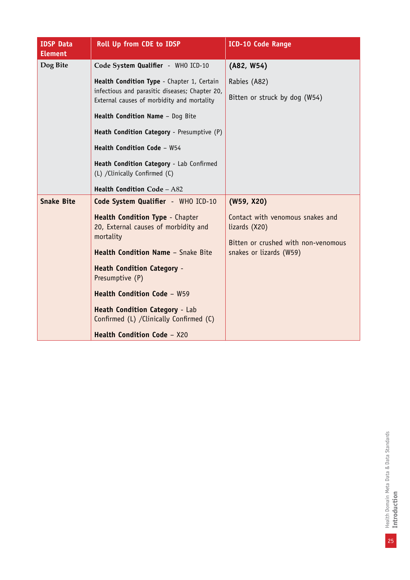| <b>IDSP Data</b><br><b>Element</b> | Roll Up from CDE to IDSP                                                                     | <b>ICD-10 Code Range</b>                                       |
|------------------------------------|----------------------------------------------------------------------------------------------|----------------------------------------------------------------|
| Dog Bite                           | Code System Qualifier - WHO ICD-10                                                           | (A82, W54)                                                     |
|                                    | Health Condition Type - Chapter 1, Certain<br>infectious and parasitic diseases; Chapter 20, | Rabies (A82)                                                   |
|                                    | External causes of morbidity and mortality                                                   | Bitten or struck by dog (W54)                                  |
|                                    | Health Condition Name - Dog Bite                                                             |                                                                |
|                                    | Heath Condition Category - Presumptive (P)                                                   |                                                                |
|                                    | Health Condition Code - W54                                                                  |                                                                |
|                                    | Heath Condition Category - Lab Confirmed<br>(L) /Clinically Confirmed (C)                    |                                                                |
|                                    | Health Condition Code - A82                                                                  |                                                                |
| <b>Snake Bite</b>                  | Code System Qualifier - WHO ICD-10                                                           | (W59, X20)                                                     |
|                                    | <b>Health Condition Type - Chapter</b>                                                       | Contact with venomous snakes and                               |
|                                    | 20, External causes of morbidity and<br>mortality                                            | lizards (X20)                                                  |
|                                    | <b>Health Condition Name - Snake Bite</b>                                                    | Bitten or crushed with non-venomous<br>snakes or lizards (W59) |
|                                    | <b>Heath Condition Category -</b>                                                            |                                                                |
|                                    | Presumptive (P)                                                                              |                                                                |
|                                    | <b>Health Condition Code - W59</b>                                                           |                                                                |
|                                    | <b>Heath Condition Category - Lab</b><br>Confirmed (L) / Clinically Confirmed (C)            |                                                                |
|                                    | Health Condition Code - X20                                                                  |                                                                |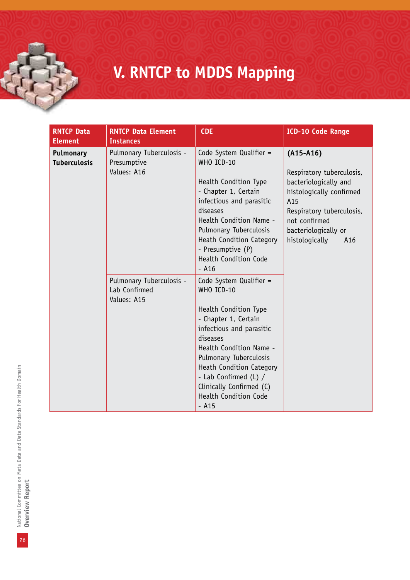# **V. RNTCP to MDDS Mapping**

| <b>RNTCP Data</b><br><b>Element</b>     | <b>RNTCP Data Element</b><br><b>Instances</b>            | <b>CDE</b>                                                                                                                                                                                                                                                                                               | <b>ICD-10 Code Range</b>                                                                                                                                                                            |
|-----------------------------------------|----------------------------------------------------------|----------------------------------------------------------------------------------------------------------------------------------------------------------------------------------------------------------------------------------------------------------------------------------------------------------|-----------------------------------------------------------------------------------------------------------------------------------------------------------------------------------------------------|
| <b>Pulmonary</b><br><b>Tuberculosis</b> | Pulmonary Tuberculosis -<br>Presumptive<br>Values: A16   | Code System Qualifier =<br>WHO ICD-10<br>Health Condition Type<br>- Chapter 1, Certain<br>infectious and parasitic<br>diseases<br>Health Condition Name -<br>Pulmonary Tuberculosis<br>Heath Condition Category<br>- Presumptive (P)<br><b>Health Condition Code</b><br>$-$ A16                          | $(A15-A16)$<br>Respiratory tuberculosis,<br>bacteriologically and<br>histologically confirmed<br>A15<br>Respiratory tuberculosis,<br>not confirmed<br>bacteriologically or<br>histologically<br>A16 |
|                                         | Pulmonary Tuberculosis -<br>Lab Confirmed<br>Values: A15 | Code System Qualifier =<br>WHO ICD-10<br>Health Condition Type<br>- Chapter 1, Certain<br>infectious and parasitic<br>diseases<br>Health Condition Name -<br>Pulmonary Tuberculosis<br>Heath Condition Category<br>- Lab Confirmed (L) /<br>Clinically Confirmed (C)<br>Health Condition Code<br>$-$ A15 |                                                                                                                                                                                                     |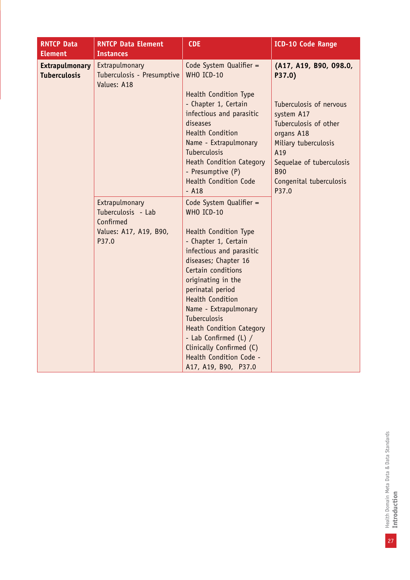| <b>RNTCP Data</b><br><b>Element</b>          | <b>RNTCP Data Element</b><br><b>Instances</b>                                        | <b>CDE</b>                                                                                                                                                                                                                                                                                                                                                                                                                       | <b>ICD-10 Code Range</b>                                                                                                                                                                                                      |
|----------------------------------------------|--------------------------------------------------------------------------------------|----------------------------------------------------------------------------------------------------------------------------------------------------------------------------------------------------------------------------------------------------------------------------------------------------------------------------------------------------------------------------------------------------------------------------------|-------------------------------------------------------------------------------------------------------------------------------------------------------------------------------------------------------------------------------|
| <b>Extrapulmonary</b><br><b>Tuberculosis</b> | Extrapulmonary<br>Tuberculosis - Presumptive<br>Values: A18                          | Code System Qualifier =<br>WHO ICD-10<br>Health Condition Type<br>- Chapter 1, Certain<br>infectious and parasitic<br>diseases<br><b>Health Condition</b><br>Name - Extrapulmonary<br><b>Tuberculosis</b><br><b>Heath Condition Category</b><br>- Presumptive (P)<br><b>Health Condition Code</b><br>$-$ A18                                                                                                                     | (A17, A19, B90, 098.0,<br>P37.0)<br>Tuberculosis of nervous<br>system A17<br>Tuberculosis of other<br>organs A18<br>Miliary tuberculosis<br>A19<br>Sequelae of tuberculosis<br><b>B90</b><br>Congenital tuberculosis<br>P37.0 |
|                                              | Extrapulmonary<br>Tuberculosis - Lab<br>Confirmed<br>Values: A17, A19, B90,<br>P37.0 | Code System Qualifier =<br>WHO ICD-10<br><b>Health Condition Type</b><br>- Chapter 1, Certain<br>infectious and parasitic<br>diseases; Chapter 16<br>Certain conditions<br>originating in the<br>perinatal period<br><b>Health Condition</b><br>Name - Extrapulmonary<br>Tuberculosis<br><b>Heath Condition Category</b><br>- Lab Confirmed (L) /<br>Clinically Confirmed (C)<br>Health Condition Code -<br>A17, A19, B90, P37.0 |                                                                                                                                                                                                                               |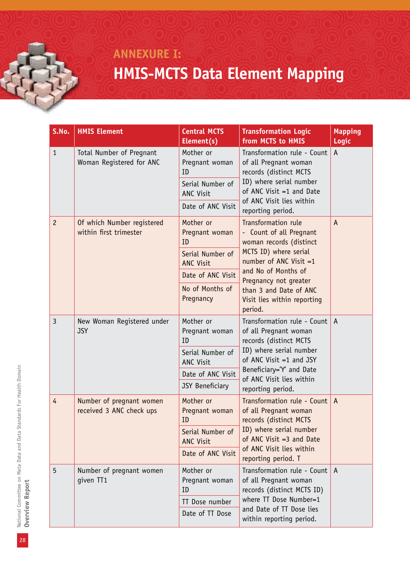### **ANNEXURE I: HMIS-MCTS Data Element Mapping**

| S.No.          | <b>HMIS Element</b>                                  | <b>Central MCTS</b><br>Element(s)                     | <b>Transformation Logic</b><br>from MCTS to HMIS                                                                                                                                                                    | <b>Mapping</b><br><b>Logic</b> |
|----------------|------------------------------------------------------|-------------------------------------------------------|---------------------------------------------------------------------------------------------------------------------------------------------------------------------------------------------------------------------|--------------------------------|
| $\mathbf{1}$   | Total Number of Pregnant<br>Woman Registered for ANC | Mother or<br>Pregnant woman<br>ID<br>Serial Number of | Transformation rule - Count<br>of all Pregnant woman<br>records (distinct MCTS<br>ID) where serial number                                                                                                           | $\mathsf{A}$                   |
|                |                                                      | ANC Visit<br>Date of ANC Visit                        | of ANC Visit $=1$ and Date<br>of ANC Visit lies within<br>reporting period.                                                                                                                                         |                                |
| $\overline{c}$ | Of which Number registered<br>within first trimester | Mother or<br>Pregnant woman<br>ID                     | Transformation rule<br>- Count of all Pregnant<br>woman records (distinct                                                                                                                                           | $\overline{A}$                 |
|                |                                                      | Serial Number of<br><b>ANC Visit</b>                  | MCTS ID) where serial<br>number of ANC Visit $=1$                                                                                                                                                                   |                                |
|                |                                                      | Date of ANC Visit                                     | and No of Months of<br>Pregnancy not greater                                                                                                                                                                        |                                |
|                |                                                      | No of Months of<br>Pregnancy                          | than 3 and Date of ANC<br>Visit lies within reporting<br>period.                                                                                                                                                    |                                |
| $\overline{3}$ | New Woman Registered under<br><b>JSY</b>             | Mother or<br>Pregnant woman<br>ID                     | Transformation rule - Count<br>of all Pregnant woman<br>records (distinct MCTS<br>ID) where serial number<br>of ANC Visit $=1$ and JSY<br>Beneficiary='Y' and Date<br>of ANC Visit lies within<br>reporting period. | $\mathsf{A}$                   |
|                |                                                      | Serial Number of<br>ANC Visit                         |                                                                                                                                                                                                                     |                                |
|                |                                                      | Date of ANC Visit                                     |                                                                                                                                                                                                                     |                                |
|                |                                                      | JSY Beneficiary                                       |                                                                                                                                                                                                                     |                                |
| 4              | Number of pregnant women<br>received 3 ANC check ups | Mother or<br>Pregnant woman<br>ID                     | Transformation rule - Count<br>of all Pregnant woman<br>records (distinct MCTS<br>ID) where serial number<br>of ANC Visit $=3$ and Date                                                                             | $\mathsf{A}$                   |
|                |                                                      | Serial Number of<br><b>ANC Visit</b>                  |                                                                                                                                                                                                                     |                                |
|                |                                                      | Date of ANC Visit                                     | of ANC Visit lies within<br>reporting period. T                                                                                                                                                                     |                                |
| 5              | Number of pregnant women<br>given TT1                | Mother or<br>Pregnant woman<br>ID                     | Transformation rule - Count<br>of all Pregnant woman<br>records (distinct MCTS ID)                                                                                                                                  | A                              |
|                |                                                      | TT Dose number                                        | where TT Dose Number=1<br>and Date of TT Dose lies                                                                                                                                                                  |                                |
|                |                                                      | Date of TT Dose                                       | within reporting period.                                                                                                                                                                                            |                                |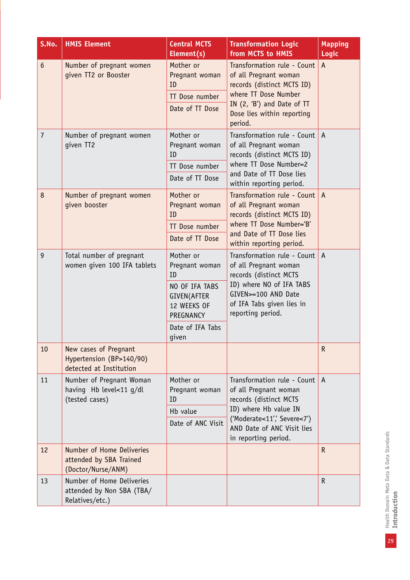| S.No.           | <b>HMIS Element</b>                                                          | <b>Central MCTS</b><br>Element(s)                                                                                                  | <b>Transformation Logic</b><br>from MCTS to HMIS                                                                                                                                            | <b>Mapping</b><br>Logic |
|-----------------|------------------------------------------------------------------------------|------------------------------------------------------------------------------------------------------------------------------------|---------------------------------------------------------------------------------------------------------------------------------------------------------------------------------------------|-------------------------|
| $6\phantom{1}6$ | Number of pregnant women<br>given TT2 or Booster                             | Mother or<br>Pregnant woman<br>ID<br>TT Dose number<br>Date of TT Dose                                                             | Transformation rule - Count<br>of all Pregnant woman<br>records (distinct MCTS ID)<br>where TT Dose Number<br>IN (2, 'B') and Date of TT<br>Dose lies within reporting<br>period.           | A                       |
| $\overline{7}$  | Number of pregnant women<br>given TT2                                        | Mother or<br>Pregnant woman<br>ID<br>TT Dose number<br>Date of TT Dose                                                             | Transformation rule - Count<br>of all Pregnant woman<br>records (distinct MCTS ID)<br>where TT Dose Number=2<br>and Date of TT Dose lies<br>within reporting period.                        | $\mathsf{A}$            |
| 8               | Number of pregnant women<br>given booster                                    | Mother or<br>Pregnant woman<br>ID<br>TT Dose number<br>Date of TT Dose                                                             | Transformation rule - Count<br>of all Pregnant woman<br>records (distinct MCTS ID)<br>where TT Dose Number='B'<br>and Date of TT Dose lies<br>within reporting period.                      | $\mathsf{A}$            |
| 9               | Total number of pregnant<br>women given 100 IFA tablets                      | Mother or<br>Pregnant woman<br>ID<br>NO OF IFA TABS<br><b>GIVEN(AFTER</b><br>12 WEEKS OF<br>PREGNANCY<br>Date of IFA Tabs<br>given | Transformation rule - Count<br>of all Pregnant woman<br>records (distinct MCTS<br>ID) where NO of IFA TABS<br>GIVEN>=100 AND Date<br>of IFA Tabs given lies in<br>reporting period.         | $\overline{A}$          |
| 10              | New cases of Pregnant<br>Hypertension (BP>140/90)<br>detected at Institution |                                                                                                                                    |                                                                                                                                                                                             | $\mathsf R$             |
| 11              | Number of Pregnant Woman<br>having Hb level<11 g/dl<br>(tested cases)        | Mother or<br>Pregnant woman<br>ID<br>Hb value<br>Date of ANC Visit                                                                 | Transformation rule - Count<br>of all Pregnant woman<br>records (distinct MCTS<br>ID) where Hb value IN<br>('Moderate<11', Severe<7')<br>AND Date of ANC Visit lies<br>in reporting period. | A                       |
| 12              | Number of Home Deliveries<br>attended by SBA Trained<br>(Doctor/Nurse/ANM)   |                                                                                                                                    |                                                                                                                                                                                             | $\mathsf R$             |
| 13              | Number of Home Deliveries<br>attended by Non SBA (TBA/<br>Relatives/etc.)    |                                                                                                                                    |                                                                                                                                                                                             | $\mathsf R$             |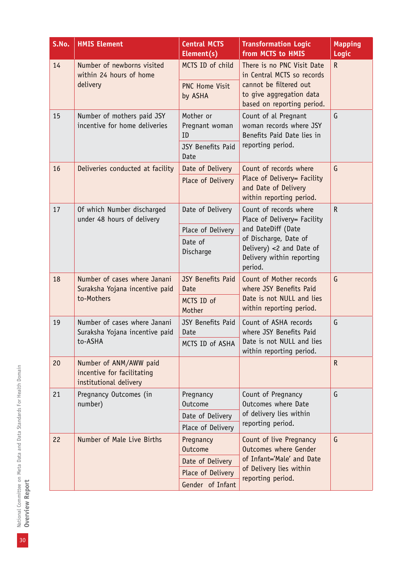| S.No. | <b>HMIS Element</b>                                                            | <b>Central MCTS</b><br>Element(s) | <b>Transformation Logic</b><br>from MCTS to HMIS                                                                   | <b>Mapping</b><br>Logic |
|-------|--------------------------------------------------------------------------------|-----------------------------------|--------------------------------------------------------------------------------------------------------------------|-------------------------|
| 14    | Number of newborns visited<br>within 24 hours of home                          | MCTS ID of child                  | There is no PNC Visit Date<br>in Central MCTS so records                                                           | R                       |
|       | delivery                                                                       | <b>PNC Home Visit</b><br>by ASHA  | cannot be filtered out<br>to give aggregation data<br>based on reporting period.                                   |                         |
| 15    | Number of mothers paid JSY<br>incentive for home deliveries                    | Mother or<br>Pregnant woman<br>ID | Count of al Pregnant<br>woman records where JSY<br>Benefits Paid Date lies in                                      | G                       |
|       |                                                                                | <b>JSY Benefits Paid</b><br>Date  | reporting period.                                                                                                  |                         |
| 16    | Deliveries conducted at facility                                               | Date of Delivery                  | Count of records where                                                                                             | G                       |
|       |                                                                                | Place of Delivery                 | Place of Delivery= Facility<br>and Date of Delivery<br>within reporting period.                                    |                         |
| 17    | Of which Number discharged<br>under 48 hours of delivery                       | Date of Delivery                  | Count of records where<br>Place of Delivery= Facility                                                              | $\mathsf R$             |
|       |                                                                                | Place of Delivery                 | and DateDiff (Date<br>of Discharge, Date of<br>Delivery) $<$ 2 and Date of<br>Delivery within reporting<br>period. |                         |
|       |                                                                                | Date of<br>Discharge              |                                                                                                                    |                         |
| 18    | Number of cases where Janani<br>Suraksha Yojana incentive paid                 | <b>JSY Benefits Paid</b><br>Date  | Count of Mother records<br>where JSY Benefits Paid<br>Date is not NULL and lies<br>within reporting period.        | G                       |
|       | to-Mothers                                                                     | MCTS ID of<br>Mother              |                                                                                                                    |                         |
| 19    | Number of cases where Janani<br>Suraksha Yojana incentive paid                 | JSY Benefits Paid<br>Date         | Count of ASHA records<br>where JSY Benefits Paid                                                                   | G                       |
|       | to-ASHA                                                                        | MCTS ID of ASHA                   | Date is not NULL and lies<br>within reporting period.                                                              |                         |
| 20    | Number of ANM/AWW paid<br>incentive for facilitating<br>institutional delivery |                                   |                                                                                                                    | $\mathsf{R}$            |
| 21    | Pregnancy Outcomes (in<br>number)                                              | Pregnancy<br><b>Outcome</b>       | Count of Pregnancy<br>Outcomes where Date                                                                          | G                       |
|       |                                                                                | Date of Delivery                  | of delivery lies within                                                                                            |                         |
|       |                                                                                | Place of Delivery                 | reporting period.                                                                                                  |                         |
| 22    | Number of Male Live Births                                                     | Pregnancy<br><b>Outcome</b>       | Count of live Pregnancy<br>Outcomes where Gender                                                                   | G                       |
|       |                                                                                | Date of Delivery                  | of Infant='Male' and Date                                                                                          |                         |
|       |                                                                                | Place of Delivery                 | of Delivery lies within<br>reporting period.                                                                       |                         |
|       | Gender of Infant                                                               |                                   |                                                                                                                    |                         |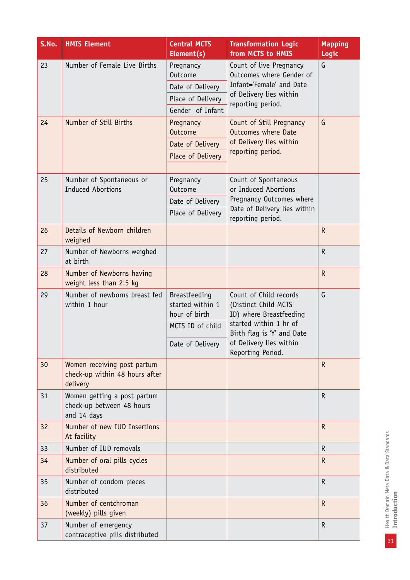| S.No. | <b>HMIS Element</b>                                                       | <b>Central MCTS</b><br>Element(s)                                                          | <b>Transformation Logic</b><br>from MCTS to HMIS                                                                                                                                  | <b>Mapping</b><br>Logic |
|-------|---------------------------------------------------------------------------|--------------------------------------------------------------------------------------------|-----------------------------------------------------------------------------------------------------------------------------------------------------------------------------------|-------------------------|
| 23    | Number of Female Live Births                                              | Pregnancy<br><b>Outcome</b><br>Date of Delivery<br>Place of Delivery<br>Gender of Infant   | Count of live Pregnancy<br>Outcomes where Gender of<br>Infant='Female' and Date<br>of Delivery lies within<br>reporting period.                                                   | G                       |
| 24    | Number of Still Births                                                    | Pregnancy<br><b>Outcome</b><br>Date of Delivery<br>Place of Delivery                       | Count of Still Pregnancy<br>Outcomes where Date<br>of Delivery lies within<br>reporting period.                                                                                   | G                       |
| 25    | Number of Spontaneous or<br><b>Induced Abortions</b>                      | Pregnancy<br>Outcome<br>Date of Delivery<br>Place of Delivery                              | Count of Spontaneous<br>or Induced Abortions<br>Pregnancy Outcomes where<br>Date of Delivery lies within<br>reporting period.                                                     |                         |
| 26    | Details of Newborn children<br>weighed                                    |                                                                                            |                                                                                                                                                                                   | $\mathsf{R}$            |
| 27    | Number of Newborns weighed<br>at birth                                    |                                                                                            |                                                                                                                                                                                   | $\mathsf R$             |
| 28    | Number of Newborns having<br>weight less than 2.5 kg                      |                                                                                            |                                                                                                                                                                                   | $\mathsf{R}$            |
| 29    | Number of newborns breast fed<br>within 1 hour                            | Breastfeeding<br>started within 1<br>hour of birth<br>MCTS ID of child<br>Date of Delivery | Count of Child records<br>(Distinct Child MCTS<br>ID) where Breastfeeding<br>started within 1 hr of<br>Birth flag is 'Y' and Date<br>of Delivery lies within<br>Reporting Period. | G                       |
| 30    | Women receiving post partum<br>check-up within 48 hours after<br>delivery |                                                                                            |                                                                                                                                                                                   | $\mathsf R$             |
| 31    | Women getting a post partum<br>check-up between 48 hours<br>and 14 days   |                                                                                            |                                                                                                                                                                                   | $\mathsf{R}$            |
| 32    | Number of new IUD Insertions<br>At facility                               |                                                                                            |                                                                                                                                                                                   | $\mathsf{R}$            |
| 33    | Number of IUD removals                                                    |                                                                                            |                                                                                                                                                                                   | $\mathsf R$             |
| 34    | Number of oral pills cycles<br>distributed                                |                                                                                            |                                                                                                                                                                                   | $\mathsf{R}$            |
| 35    | Number of condom pieces<br>distributed                                    |                                                                                            |                                                                                                                                                                                   | $\mathsf{R}$            |
| 36    | Number of centchroman<br>(weekly) pills given                             |                                                                                            |                                                                                                                                                                                   | $\mathsf R$             |
| 37    | Number of emergency<br>contraceptive pills distributed                    |                                                                                            |                                                                                                                                                                                   | ${\sf R}$               |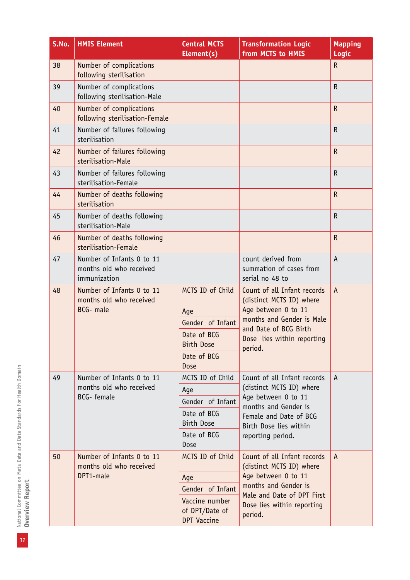| S.No. | <b>HMIS Element</b>                                                  | <b>Central MCTS</b><br>Element(s)                      | <b>Transformation Logic</b><br>from MCTS to HMIS                                                                                                                              | <b>Mapping</b><br>Logic |
|-------|----------------------------------------------------------------------|--------------------------------------------------------|-------------------------------------------------------------------------------------------------------------------------------------------------------------------------------|-------------------------|
| 38    | Number of complications<br>following sterilisation                   |                                                        |                                                                                                                                                                               | $\mathsf{R}$            |
| 39    | Number of complications<br>following sterilisation-Male              |                                                        |                                                                                                                                                                               | $\mathsf R$             |
| 40    | Number of complications<br>following sterilisation-Female            |                                                        |                                                                                                                                                                               | $\mathsf{R}$            |
| 41    | Number of failures following<br>sterilisation                        |                                                        |                                                                                                                                                                               | $\mathsf{R}$            |
| 42    | Number of failures following<br>sterilisation-Male                   |                                                        |                                                                                                                                                                               | $\mathsf{R}$            |
| 43    | Number of failures following<br>sterilisation-Female                 |                                                        |                                                                                                                                                                               | $\mathsf R$             |
| 44    | Number of deaths following<br>sterilisation                          |                                                        |                                                                                                                                                                               | $\mathsf{R}$            |
| 45    | Number of deaths following<br>sterilisation-Male                     |                                                        |                                                                                                                                                                               | $\mathsf{R}$            |
| 46    | Number of deaths following<br>sterilisation-Female                   |                                                        |                                                                                                                                                                               | $\mathsf R$             |
| 47    | Number of Infants 0 to 11<br>months old who received<br>immunization |                                                        | count derived from<br>summation of cases from<br>serial no 48 to                                                                                                              | A                       |
| 48    | Number of Infants 0 to 11<br>months old who received                 | MCTS ID of Child                                       | Count of all Infant records<br>(distinct MCTS ID) where<br>Age between 0 to 11<br>months and Gender is Male<br>and Date of BCG Birth<br>Dose lies within reporting<br>period. | $\mathsf{A}$            |
|       | BCG- male                                                            | Age                                                    |                                                                                                                                                                               |                         |
|       |                                                                      | Gender of Infant                                       |                                                                                                                                                                               |                         |
|       |                                                                      | Date of BCG<br><b>Birth Dose</b>                       |                                                                                                                                                                               |                         |
|       |                                                                      | Date of BCG<br>Dose                                    |                                                                                                                                                                               |                         |
| 49    | Number of Infants 0 to 11                                            | MCTS ID of Child                                       | Count of all Infant records                                                                                                                                                   | A                       |
|       | months old who received<br><b>BCG-</b> female                        | Age                                                    | (distinct MCTS ID) where<br>Age between 0 to 11                                                                                                                               |                         |
|       |                                                                      | Gender of Infant                                       | months and Gender is                                                                                                                                                          |                         |
|       |                                                                      | Date of BCG<br><b>Birth Dose</b>                       | Female and Date of BCG<br>Birth Dose lies within                                                                                                                              |                         |
|       |                                                                      | Date of BCG<br>Dose                                    | reporting period.                                                                                                                                                             |                         |
| 50    | Number of Infants 0 to 11<br>months old who received                 | MCTS ID of Child                                       | Count of all Infant records<br>(distinct MCTS ID) where                                                                                                                       | $\mathsf{A}$            |
|       | DPT1-male                                                            | Age                                                    | Age between 0 to 11                                                                                                                                                           |                         |
|       |                                                                      | Gender of Infant                                       | months and Gender is<br>Male and Date of DPT First                                                                                                                            |                         |
|       |                                                                      | Vaccine number<br>of DPT/Date of<br><b>DPT Vaccine</b> | Dose lies within reporting<br>period.                                                                                                                                         |                         |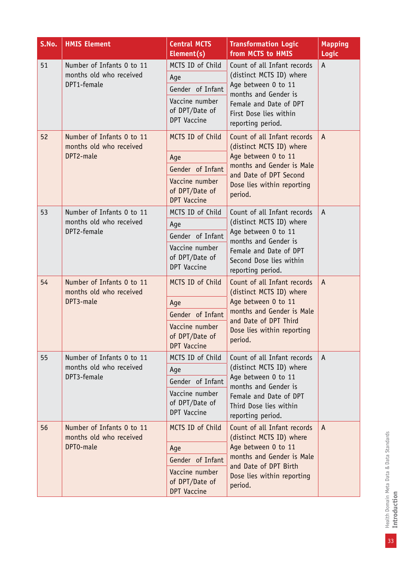| S.No. | <b>HMIS Element</b>                                                 | <b>Central MCTS</b><br>Element(s)                      | <b>Transformation Logic</b><br>from MCTS to HMIS                                                                                                                              | <b>Mapping</b><br>Logic |
|-------|---------------------------------------------------------------------|--------------------------------------------------------|-------------------------------------------------------------------------------------------------------------------------------------------------------------------------------|-------------------------|
| 51    | Number of Infants 0 to 11<br>months old who received                | MCTS ID of Child<br>Age                                | Count of all Infant records<br>(distinct MCTS ID) where                                                                                                                       | $\mathsf{A}$            |
|       | DPT1-female                                                         | Gender of Infant                                       | Age between 0 to 11<br>months and Gender is                                                                                                                                   |                         |
|       |                                                                     | Vaccine number<br>of DPT/Date of<br>DPT Vaccine        | Female and Date of DPT<br>First Dose lies within<br>reporting period.                                                                                                         |                         |
| 52    | Number of Infants 0 to 11<br>months old who received                | MCTS ID of Child                                       | Count of all Infant records<br>(distinct MCTS ID) where                                                                                                                       | $\Lambda$               |
|       | DPT2-male                                                           | Age                                                    | Age between 0 to 11                                                                                                                                                           |                         |
|       |                                                                     | Gender of Infant                                       | months and Gender is Male<br>and Date of DPT Second                                                                                                                           |                         |
|       |                                                                     | Vaccine number<br>of DPT/Date of<br><b>DPT Vaccine</b> | Dose lies within reporting<br>period.                                                                                                                                         |                         |
| 53    | Number of Infants 0 to 11<br>months old who received<br>DPT2-female | MCTS ID of Child                                       | Count of all Infant records                                                                                                                                                   | A                       |
|       |                                                                     | Age                                                    | (distinct MCTS ID) where<br>Age between 0 to 11                                                                                                                               |                         |
|       |                                                                     | Gender of Infant                                       | months and Gender is<br>Female and Date of DPT<br>Second Dose lies within<br>reporting period.                                                                                |                         |
|       |                                                                     | Vaccine number<br>of DPT/Date of<br>DPT Vaccine        |                                                                                                                                                                               |                         |
| 54    | Number of Infants 0 to 11<br>months old who received                | MCTS ID of Child                                       | Count of all Infant records<br>(distinct MCTS ID) where<br>Age between 0 to 11<br>months and Gender is Male<br>and Date of DPT Third<br>Dose lies within reporting<br>period. | $\mathsf{A}$            |
|       | DPT3-male                                                           | Age                                                    |                                                                                                                                                                               |                         |
|       |                                                                     | Gender of Infant                                       |                                                                                                                                                                               |                         |
|       |                                                                     | Vaccine number<br>of DPT/Date of<br><b>DPT Vaccine</b> |                                                                                                                                                                               |                         |
| 55    | Number of Infants 0 to 11                                           | MCTS ID of Child                                       | Count of all Infant records                                                                                                                                                   | A                       |
|       | months old who received                                             | Age                                                    | (distinct MCTS ID) where                                                                                                                                                      |                         |
|       | DPT3-female                                                         | Gender of Infant                                       | Age between 0 to 11<br>months and Gender is                                                                                                                                   |                         |
|       |                                                                     | Vaccine number<br>of DPT/Date of<br>DPT Vaccine        | Female and Date of DPT<br>Third Dose lies within<br>reporting period.                                                                                                         |                         |
| 56    | Number of Infants 0 to 11<br>months old who received                | MCTS ID of Child                                       | Count of all Infant records<br>(distinct MCTS ID) where<br>Age between 0 to 11<br>months and Gender is Male<br>and Date of DPT Birth                                          | $\mathsf{A}$            |
|       | DPT0-male                                                           | Age                                                    |                                                                                                                                                                               |                         |
|       |                                                                     | Gender of Infant                                       |                                                                                                                                                                               |                         |
|       |                                                                     | Vaccine number<br>of DPT/Date of<br><b>DPT Vaccine</b> | Dose lies within reporting<br>period.                                                                                                                                         |                         |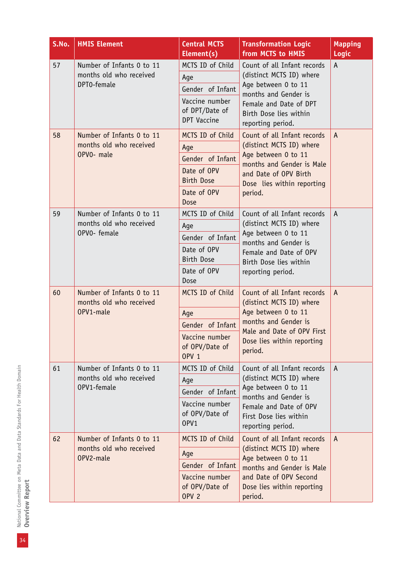| S.No. | <b>HMIS Element</b>                                                  | <b>Central MCTS</b><br>Element(s)                                                                      | <b>Transformation Logic</b><br>from MCTS to HMIS                                                                                                                                | <b>Mapping</b><br>Logic |
|-------|----------------------------------------------------------------------|--------------------------------------------------------------------------------------------------------|---------------------------------------------------------------------------------------------------------------------------------------------------------------------------------|-------------------------|
| 57    | Number of Infants 0 to 11<br>months old who received<br>DPT0-female  | MCTS ID of Child<br>Age<br>Gender of Infant<br>Vaccine number<br>of DPT/Date of<br><b>DPT Vaccine</b>  | Count of all Infant records<br>(distinct MCTS ID) where<br>Age between 0 to 11<br>months and Gender is<br>Female and Date of DPT<br>Birth Dose lies within<br>reporting period. | A                       |
| 58    | Number of Infants 0 to 11<br>months old who received<br>OPVO- male   | MCTS ID of Child<br>Age<br>Gender of Infant<br>Date of OPV<br><b>Birth Dose</b><br>Date of OPV<br>Dose | Count of all Infant records<br>(distinct MCTS ID) where<br>Age between 0 to 11<br>months and Gender is Male<br>and Date of OPV Birth<br>Dose lies within reporting<br>period.   | $\overline{A}$          |
| 59    | Number of Infants 0 to 11<br>months old who received<br>OPVO- female | MCTS ID of Child<br>Age<br>Gender of Infant<br>Date of OPV<br><b>Birth Dose</b><br>Date of OPV<br>Dose | Count of all Infant records<br>(distinct MCTS ID) where<br>Age between 0 to 11<br>months and Gender is<br>Female and Date of OPV<br>Birth Dose lies within<br>reporting period. | A                       |
| 60    | Number of Infants 0 to 11<br>months old who received<br>OPV1-male    | MCTS ID of Child<br>Age<br>Gender of Infant<br>Vaccine number<br>of OPV/Date of<br><b>OPV 1</b>        | Count of all Infant records<br>(distinct MCTS ID) where<br>Age between 0 to 11<br>months and Gender is<br>Male and Date of OPV First<br>Dose lies within reporting<br>period.   | $\mathsf{A}$            |
| 61    | Number of Infants 0 to 11<br>months old who received<br>OPV1-female  | MCTS ID of Child<br>Age<br>Gender of Infant<br>Vaccine number<br>of OPV/Date of<br>OPV1                | Count of all Infant records<br>(distinct MCTS ID) where<br>Age between 0 to 11<br>months and Gender is<br>Female and Date of OPV<br>First Dose lies within<br>reporting period. | A                       |
| 62    | Number of Infants 0 to 11<br>months old who received<br>OPV2-male    | MCTS ID of Child<br>Age<br>Gender of Infant<br>Vaccine number<br>of OPV/Date of<br>OPV <sub>2</sub>    | Count of all Infant records<br>(distinct MCTS ID) where<br>Age between 0 to 11<br>months and Gender is Male<br>and Date of OPV Second<br>Dose lies within reporting<br>period.  | A                       |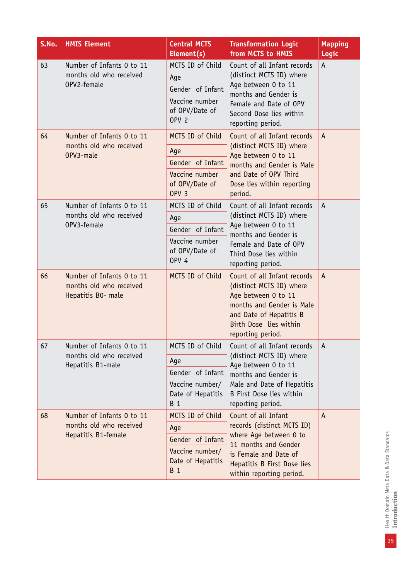| S.No. | <b>HMIS Element</b>                                                         | <b>Central MCTS</b><br>Element(s)                                                                   | <b>Transformation Logic</b><br>from MCTS to HMIS                                                                                                                                        | <b>Mapping</b><br><b>Logic</b>  |
|-------|-----------------------------------------------------------------------------|-----------------------------------------------------------------------------------------------------|-----------------------------------------------------------------------------------------------------------------------------------------------------------------------------------------|---------------------------------|
| 63    | Number of Infants 0 to 11<br>months old who received<br>OPV2-female         | MCTS ID of Child<br>Age<br>Gender of Infant<br>Vaccine number<br>of OPV/Date of<br>OPV <sub>2</sub> | Count of all Infant records<br>(distinct MCTS ID) where<br>Age between 0 to 11<br>months and Gender is<br>Female and Date of OPV<br>Second Dose lies within<br>reporting period.        | A                               |
| 64    | Number of Infants 0 to 11<br>months old who received<br>OPV3-male           | MCTS ID of Child<br>Age<br>Gender of Infant<br>Vaccine number<br>of OPV/Date of<br>OPV <sub>3</sub> | Count of all Infant records<br>(distinct MCTS ID) where<br>Age between 0 to 11<br>months and Gender is Male<br>and Date of OPV Third<br>Dose lies within reporting<br>period.           | $\mathsf{A}$                    |
| 65    | Number of Infants 0 to 11<br>months old who received<br>OPV3-female         | MCTS ID of Child<br>Age<br>Gender of Infant<br>Vaccine number<br>of OPV/Date of<br><b>OPV 4</b>     | Count of all Infant records<br>(distinct MCTS ID) where<br>Age between 0 to 11<br>months and Gender is<br>Female and Date of OPV<br>Third Dose lies within<br>reporting period.         | A                               |
| 66    | Number of Infants 0 to 11<br>months old who received<br>Hepatitis B0- male  | MCTS ID of Child                                                                                    | Count of all Infant records<br>(distinct MCTS ID) where<br>Age between 0 to 11<br>months and Gender is Male<br>and Date of Hepatitis B<br>Birth Dose lies within<br>reporting period.   | $\overline{A}$                  |
| 67    | Number of Infants 0 to 11<br>months old who received<br>Hepatitis B1-male   | MCTS ID of Child<br>Age<br>Gender of Infant<br>Vaccine number/<br>Date of Hepatitis<br><b>B</b> 1   | Count of all Infant records<br>(distinct MCTS ID) where<br>Age between 0 to 11<br>months and Gender is<br>Male and Date of Hepatitis<br>B First Dose lies within<br>reporting period.   | $\boldsymbol{\mathsf{\Lambda}}$ |
| 68    | Number of Infants 0 to 11<br>months old who received<br>Hepatitis B1-female | MCTS ID of Child<br>Age<br>Gender of Infant<br>Vaccine number/<br>Date of Hepatitis<br><b>B</b> 1   | Count of all Infant<br>records (distinct MCTS ID)<br>where Age between 0 to<br>11 months and Gender<br>is Female and Date of<br>Hepatitis B First Dose lies<br>within reporting period. | $\mathsf{A}$                    |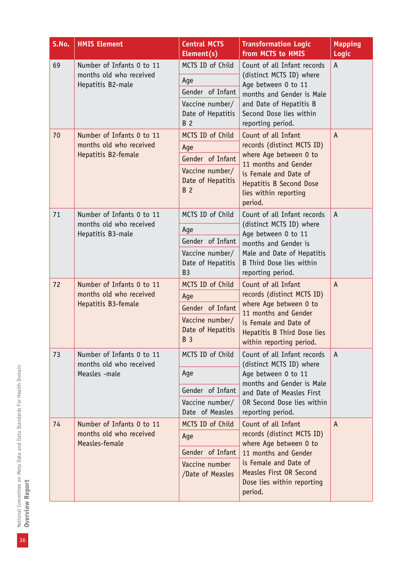| S.No.             | <b>HMIS Element</b>                          | <b>Central MCTS</b><br>Element(s)                  | <b>Transformation Logic</b><br>from MCTS to HMIS                                                                                                                                        | <b>Mapping</b><br>Logic |
|-------------------|----------------------------------------------|----------------------------------------------------|-----------------------------------------------------------------------------------------------------------------------------------------------------------------------------------------|-------------------------|
| 69                | Number of Infants 0 to 11                    | MCTS ID of Child                                   | Count of all Infant records                                                                                                                                                             | A                       |
|                   | months old who received<br>Hepatitis B2-male | Age                                                | (distinct MCTS ID) where<br>Age between 0 to 11                                                                                                                                         |                         |
|                   |                                              | Gender of Infant                                   | months and Gender is Male                                                                                                                                                               |                         |
|                   |                                              | Vaccine number/                                    | and Date of Hepatitis B                                                                                                                                                                 |                         |
|                   |                                              | Date of Hepatitis<br>B 2                           | Second Dose lies within<br>reporting period.                                                                                                                                            |                         |
| 70                | Number of Infants 0 to 11                    | MCTS ID of Child                                   | Count of all Infant                                                                                                                                                                     | A                       |
|                   | months old who received                      | Age                                                | records (distinct MCTS ID)                                                                                                                                                              |                         |
|                   | Hepatitis B2-female                          | Gender of Infant                                   | where Age between 0 to<br>11 months and Gender                                                                                                                                          |                         |
|                   |                                              | Vaccine number/<br>Date of Hepatitis<br><b>B</b> 2 | is Female and Date of<br><b>Hepatitis B Second Dose</b><br>lies within reporting<br>period.                                                                                             |                         |
| 71                | Number of Infants 0 to 11                    | MCTS ID of Child                                   | Count of all Infant records                                                                                                                                                             | Α                       |
|                   | months old who received                      | Age                                                | (distinct MCTS ID) where<br>Age between 0 to 11                                                                                                                                         |                         |
| Hepatitis B3-male | Gender of Infant                             | months and Gender is<br>Male and Date of Hepatitis |                                                                                                                                                                                         |                         |
|                   | Vaccine number/                              |                                                    |                                                                                                                                                                                         |                         |
|                   |                                              | Date of Hepatitis<br>B <sub>3</sub>                | B Third Dose lies within<br>reporting period.                                                                                                                                           |                         |
| 72                | Number of Infants 0 to 11                    | MCTS ID of Child                                   | Count of all Infant<br>records (distinct MCTS ID)<br>where Age between 0 to<br>11 months and Gender<br>is Female and Date of<br>Hepatitis B Third Dose lies<br>within reporting period. | $\mathsf{A}$            |
|                   | months old who received                      | Age                                                |                                                                                                                                                                                         |                         |
|                   | Hepatitis B3-female                          | Gender of Infant                                   |                                                                                                                                                                                         |                         |
|                   |                                              | Vaccine number/<br>Date of Hepatitis<br><b>B</b> 3 |                                                                                                                                                                                         |                         |
| 73                | Number of Infants 0 to 11                    | MCTS ID of Child                                   | Count of all Infant records                                                                                                                                                             | A                       |
|                   | months old who received<br>Measles -male     | Age                                                | (distinct MCTS ID) where<br>Age between 0 to 11<br>months and Gender is Male                                                                                                            |                         |
|                   |                                              | Gender of Infant                                   | and Date of Measles First                                                                                                                                                               |                         |
|                   |                                              | Vaccine number/<br>Date of Measles                 | OR Second Dose lies within<br>reporting period.                                                                                                                                         |                         |
| 74                | Number of Infants 0 to 11                    | MCTS ID of Child                                   | Count of all Infant                                                                                                                                                                     | A                       |
|                   | months old who received<br>Measles-female    | Age                                                | records (distinct MCTS ID)<br>where Age between 0 to                                                                                                                                    |                         |
|                   |                                              | Gender of Infant                                   | 11 months and Gender                                                                                                                                                                    |                         |
|                   |                                              | Vaccine number                                     | is Female and Date of                                                                                                                                                                   |                         |
|                   |                                              | /Date of Measles                                   | Measles First OR Second<br>Dose lies within reporting<br>period.                                                                                                                        |                         |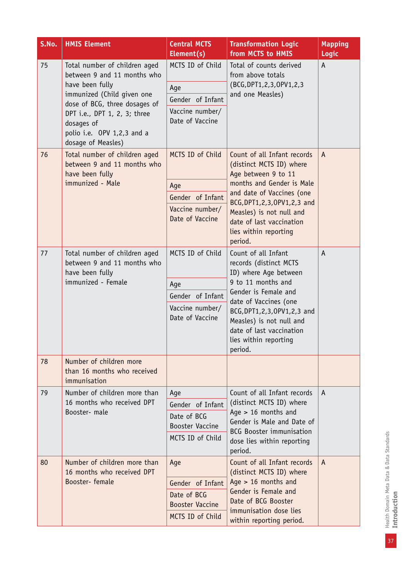| S.No.              | <b>HMIS Element</b>                                                                                                                                                                                                                              | <b>Central MCTS</b><br>Element(s)                                                 | <b>Transformation Logic</b><br>from MCTS to HMIS                                                                                                                                                                                                                             | <b>Mapping</b><br>Logic |
|--------------------|--------------------------------------------------------------------------------------------------------------------------------------------------------------------------------------------------------------------------------------------------|-----------------------------------------------------------------------------------|------------------------------------------------------------------------------------------------------------------------------------------------------------------------------------------------------------------------------------------------------------------------------|-------------------------|
| 75                 | Total number of children aged<br>between 9 and 11 months who<br>have been fully<br>immunized (Child given one<br>dose of BCG, three dosages of<br>DPT i.e., DPT 1, 2, 3; three<br>dosages of<br>polio i.e. OPV 1,2,3 and a<br>dosage of Measles) | MCTS ID of Child<br>Age<br>Gender of Infant<br>Vaccine number/<br>Date of Vaccine | Total of counts derived<br>from above totals<br>(BCG, DPT1, 2, 3, OPV1, 2, 3<br>and one Measles)                                                                                                                                                                             | A                       |
| 76                 | Total number of children aged<br>between 9 and 11 months who<br>have been fully<br>immunized - Male                                                                                                                                              | MCTS ID of Child                                                                  | Count of all Infant records<br>(distinct MCTS ID) where<br>Age between 9 to 11                                                                                                                                                                                               | $\mathsf{A}$            |
|                    |                                                                                                                                                                                                                                                  | Age                                                                               | months and Gender is Male                                                                                                                                                                                                                                                    |                         |
|                    | Gender of Infant                                                                                                                                                                                                                                 | and date of Vaccines (one<br>BCG, DPT1, 2, 3, OPV1, 2, 3 and                      |                                                                                                                                                                                                                                                                              |                         |
|                    |                                                                                                                                                                                                                                                  | Vaccine number/<br>Date of Vaccine                                                | Measles) is not null and<br>date of last vaccination<br>lies within reporting<br>period.                                                                                                                                                                                     |                         |
| 77                 | Total number of children aged<br>between 9 and 11 months who<br>have been fully                                                                                                                                                                  | MCTS ID of Child                                                                  | Count of all Infant<br>records (distinct MCTS<br>ID) where Age between<br>9 to 11 months and<br>Gender is Female and<br>date of Vaccines (one<br>BCG, DPT1, 2, 3, OPV1, 2, 3 and<br>Measles) is not null and<br>date of last vaccination<br>lies within reporting<br>period. | A                       |
| immunized - Female |                                                                                                                                                                                                                                                  | Age                                                                               |                                                                                                                                                                                                                                                                              |                         |
|                    |                                                                                                                                                                                                                                                  | Gender of Infant                                                                  |                                                                                                                                                                                                                                                                              |                         |
|                    |                                                                                                                                                                                                                                                  | Vaccine number/<br>Date of Vaccine                                                |                                                                                                                                                                                                                                                                              |                         |
| 78                 | Number of children more<br>than 16 months who received<br>immunisation                                                                                                                                                                           |                                                                                   |                                                                                                                                                                                                                                                                              |                         |
| 79                 | Number of children more than                                                                                                                                                                                                                     | Age                                                                               | Count of all Infant records                                                                                                                                                                                                                                                  | A                       |
|                    | 16 months who received DPT<br>Booster- male                                                                                                                                                                                                      | Gender of Infant                                                                  | (distinct MCTS ID) where<br>Age $> 16$ months and                                                                                                                                                                                                                            |                         |
|                    |                                                                                                                                                                                                                                                  | Date of BCG<br>Booster Vaccine                                                    | Gender is Male and Date of<br><b>BCG Booster immunisation</b>                                                                                                                                                                                                                |                         |
|                    |                                                                                                                                                                                                                                                  | MCTS ID of Child                                                                  | dose lies within reporting<br>period.                                                                                                                                                                                                                                        |                         |
| 80                 | Number of children more than<br>16 months who received DPT                                                                                                                                                                                       | Age                                                                               | Count of all Infant records<br>(distinct MCTS ID) where                                                                                                                                                                                                                      | $\mathsf{A}$            |
|                    | Booster-female                                                                                                                                                                                                                                   | Gender of Infant                                                                  | Age $> 16$ months and                                                                                                                                                                                                                                                        |                         |
|                    |                                                                                                                                                                                                                                                  | Date of BCG                                                                       | Gender is Female and<br>Date of BCG Booster                                                                                                                                                                                                                                  |                         |
|                    |                                                                                                                                                                                                                                                  | <b>Booster Vaccine</b>                                                            | immunisation dose lies                                                                                                                                                                                                                                                       |                         |
|                    |                                                                                                                                                                                                                                                  | MCTS ID of Child                                                                  | within reporting period.                                                                                                                                                                                                                                                     |                         |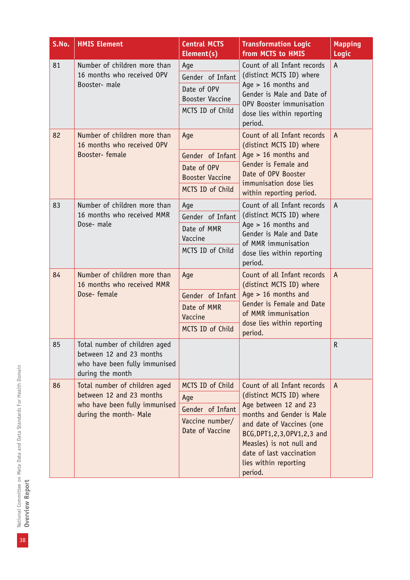| S.No. | <b>HMIS Element</b>                                                                                                  | <b>Central MCTS</b><br>Element(s)                                                    | <b>Transformation Logic</b><br>from MCTS to HMIS                                                                                                                                                                                                                          | <b>Mapping</b><br>Logic |
|-------|----------------------------------------------------------------------------------------------------------------------|--------------------------------------------------------------------------------------|---------------------------------------------------------------------------------------------------------------------------------------------------------------------------------------------------------------------------------------------------------------------------|-------------------------|
| 81    | Number of children more than<br>16 months who received OPV<br>Booster- male                                          | Age<br>Gender of Infant<br>Date of OPV<br><b>Booster Vaccine</b><br>MCTS ID of Child | Count of all Infant records<br>(distinct MCTS ID) where<br>Age $> 16$ months and<br>Gender is Male and Date of<br>OPV Booster immunisation<br>dose lies within reporting<br>period.                                                                                       | A                       |
| 82    | Number of children more than<br>16 months who received OPV<br>Booster-female                                         | Age<br>Gender of Infant<br>Date of OPV<br><b>Booster Vaccine</b><br>MCTS ID of Child | Count of all Infant records<br>(distinct MCTS ID) where<br>Age $> 16$ months and<br>Gender is Female and<br>Date of OPV Booster<br>immunisation dose lies<br>within reporting period.                                                                                     | $\overline{A}$          |
| 83    | Number of children more than<br>16 months who received MMR<br>Dose- male                                             | Age<br>Gender of Infant<br>Date of MMR<br>Vaccine<br>MCTS ID of Child                | Count of all Infant records<br>(distinct MCTS ID) where<br>Age $> 16$ months and<br>Gender is Male and Date<br>of MMR immunisation<br>dose lies within reporting<br>period.                                                                                               | A                       |
| 84    | Number of children more than<br>16 months who received MMR<br>Dose-female                                            | Age<br>Gender of Infant<br>Date of MMR<br>Vaccine<br>MCTS ID of Child                | Count of all Infant records<br>(distinct MCTS ID) where<br>Age $> 16$ months and<br>Gender is Female and Date<br>of MMR immunisation<br>dose lies within reporting<br>period.                                                                                             | $\mathsf{A}$            |
| 85    | Total number of children aged<br>between 12 and 23 months<br>who have been fully immunised<br>during the month       |                                                                                      |                                                                                                                                                                                                                                                                           | ${\sf R}$               |
| 86    | Total number of children aged<br>between 12 and 23 months<br>who have been fully immunised<br>during the month- Male | MCTS ID of Child<br>Age<br>Gender of Infant<br>Vaccine number/<br>Date of Vaccine    | Count of all Infant records<br>(distinct MCTS ID) where<br>Age between 12 and 23<br>months and Gender is Male<br>and date of Vaccines (one<br>BCG, DPT1, 2, 3, OPV1, 2, 3 and<br>Measles) is not null and<br>date of last vaccination<br>lies within reporting<br>period. | A                       |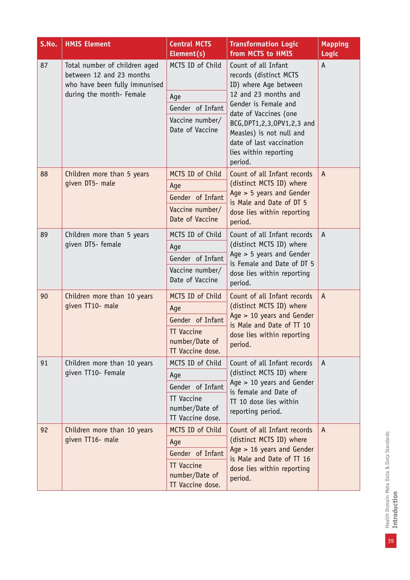| S.No. | <b>HMIS Element</b>                                                                        | <b>Central MCTS</b><br>Element(s)                       | <b>Transformation Logic</b><br>from MCTS to HMIS                                                                                                             | <b>Mapping</b><br>Logic |
|-------|--------------------------------------------------------------------------------------------|---------------------------------------------------------|--------------------------------------------------------------------------------------------------------------------------------------------------------------|-------------------------|
| 87    | Total number of children aged<br>between 12 and 23 months<br>who have been fully immunised | MCTS ID of Child                                        | Count of all Infant<br>records (distinct MCTS<br>ID) where Age between                                                                                       | A                       |
|       | during the month- Female                                                                   | Age                                                     | 12 and 23 months and                                                                                                                                         |                         |
|       |                                                                                            | Gender of Infant                                        | Gender is Female and<br>date of Vaccines (one                                                                                                                |                         |
|       |                                                                                            | Vaccine number/<br>Date of Vaccine                      | BCG, DPT1, 2, 3, OPV1, 2, 3 and<br>Measles) is not null and<br>date of last vaccination<br>lies within reporting<br>period.                                  |                         |
| 88    | Children more than 5 years                                                                 | MCTS ID of Child                                        | Count of all Infant records                                                                                                                                  | $\mathsf{A}$            |
|       | given DT5- male                                                                            | Age                                                     | (distinct MCTS ID) where                                                                                                                                     |                         |
|       | Gender of Infant                                                                           | Age $> 5$ years and Gender                              |                                                                                                                                                              |                         |
|       |                                                                                            | Vaccine number/<br>Date of Vaccine                      | is Male and Date of DT 5<br>dose lies within reporting<br>period.                                                                                            |                         |
| 89    | Children more than 5 years                                                                 | MCTS ID of Child                                        | Count of all Infant records<br>(distinct MCTS ID) where<br>Age $> 5$ years and Gender<br>is Female and Date of DT 5<br>dose lies within reporting<br>period. | $\mathsf{A}$            |
|       | given DT5- female                                                                          | Age                                                     |                                                                                                                                                              |                         |
|       |                                                                                            | Gender of Infant                                        |                                                                                                                                                              |                         |
|       |                                                                                            | Vaccine number/<br>Date of Vaccine                      |                                                                                                                                                              |                         |
| 90    | Children more than 10 years                                                                | MCTS ID of Child                                        | Count of all Infant records<br>(distinct MCTS ID) where<br>Age > 10 years and Gender<br>is Male and Date of TT 10<br>dose lies within reporting<br>period.   | $\mathsf{A}$            |
|       | given TT10- male                                                                           | Age                                                     |                                                                                                                                                              |                         |
|       |                                                                                            | Gender of Infant                                        |                                                                                                                                                              |                         |
|       |                                                                                            | <b>TT Vaccine</b><br>number/Date of<br>TT Vaccine dose. |                                                                                                                                                              |                         |
| 91    | Children more than 10 years                                                                | MCTS ID of Child                                        | Count of all Infant records                                                                                                                                  | $\mathsf{A}$            |
|       | given TT10- Female                                                                         | Age                                                     | (distinct MCTS ID) where                                                                                                                                     |                         |
|       |                                                                                            | Gender of Infant                                        | Age > 10 years and Gender<br>is female and Date of                                                                                                           |                         |
|       |                                                                                            | <b>TT Vaccine</b><br>number/Date of<br>TT Vaccine dose. | TT 10 dose lies within<br>reporting period.                                                                                                                  |                         |
| 92    | Children more than 10 years                                                                | MCTS ID of Child                                        | Count of all Infant records                                                                                                                                  | $\mathsf{A}$            |
|       | given TT16- male                                                                           | Age                                                     | (distinct MCTS ID) where                                                                                                                                     |                         |
|       |                                                                                            | Gender of Infant                                        | Age $> 16$ years and Gender<br>is Male and Date of TT 16                                                                                                     |                         |
|       |                                                                                            | <b>TT Vaccine</b><br>number/Date of<br>TT Vaccine dose. | dose lies within reporting<br>period.                                                                                                                        |                         |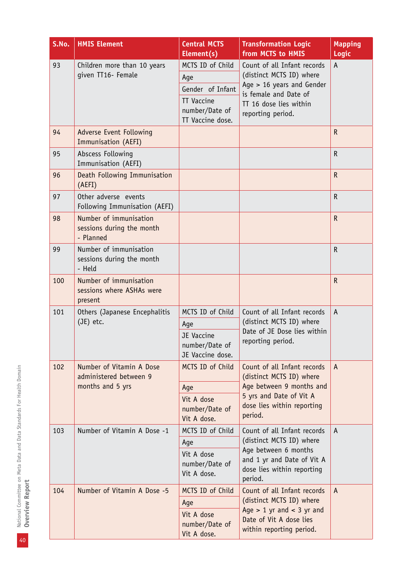| S.No. | <b>HMIS Element</b>                                              | <b>Central MCTS</b><br>Element(s)                       | <b>Transformation Logic</b><br>from MCTS to HMIS                                            | <b>Mapping</b><br>Logic |
|-------|------------------------------------------------------------------|---------------------------------------------------------|---------------------------------------------------------------------------------------------|-------------------------|
| 93    | Children more than 10 years                                      | MCTS ID of Child                                        | Count of all Infant records                                                                 | A                       |
|       | given TT16- Female                                               | Age                                                     | (distinct MCTS ID) where                                                                    |                         |
|       |                                                                  | Gender of Infant                                        | Age $> 16$ years and Gender<br>is female and Date of                                        |                         |
|       |                                                                  | <b>TT Vaccine</b><br>number/Date of<br>TT Vaccine dose. | TT 16 dose lies within<br>reporting period.                                                 |                         |
| 94    | Adverse Event Following<br>Immunisation (AEFI)                   |                                                         |                                                                                             | $\mathsf{R}$            |
| 95    | Abscess Following<br>Immunisation (AEFI)                         |                                                         |                                                                                             | $\mathsf R$             |
| 96    | Death Following Immunisation<br>(AEFI)                           |                                                         |                                                                                             | $\mathsf{R}$            |
| 97    | Other adverse events<br>Following Immunisation (AEFI)            |                                                         |                                                                                             | $\mathsf R$             |
| 98    | Number of immunisation<br>sessions during the month<br>- Planned |                                                         |                                                                                             | $\mathsf{R}$            |
| 99    | Number of immunisation<br>sessions during the month<br>- Held    |                                                         |                                                                                             | $\mathsf R$             |
| 100   | Number of immunisation<br>sessions where ASHAs were<br>present   |                                                         |                                                                                             | ${\sf R}$               |
| 101   | Others (Japanese Encephalitis                                    | MCTS ID of Child                                        | Count of all Infant records                                                                 | A                       |
|       | (JE) etc.                                                        | Age                                                     | (distinct MCTS ID) where<br>Date of JE Dose lies within                                     |                         |
|       |                                                                  | JE Vaccine<br>number/Date of<br>JE Vaccine dose.        | reporting period.                                                                           |                         |
| 102   | Number of Vitamin A Dose<br>administered between 9               | MCTS ID of Child                                        | Count of all Infant records<br>(distinct MCTS ID) where                                     | A                       |
|       | months and 5 yrs                                                 | Age                                                     | Age between 9 months and                                                                    |                         |
|       |                                                                  | Vit A dose<br>number/Date of<br>Vit A dose.             | 5 yrs and Date of Vit A<br>dose lies within reporting<br>period.                            |                         |
| 103   | Number of Vitamin A Dose -1                                      | MCTS ID of Child                                        | Count of all Infant records                                                                 | A                       |
|       |                                                                  | Age                                                     | (distinct MCTS ID) where                                                                    |                         |
|       |                                                                  | Vit A dose<br>number/Date of<br>Vit A dose.             | Age between 6 months<br>and 1 yr and Date of Vit A<br>dose lies within reporting<br>period. |                         |
| 104   | Number of Vitamin A Dose -5                                      | MCTS ID of Child                                        | Count of all Infant records                                                                 | A                       |
|       |                                                                  | Age                                                     | (distinct MCTS ID) where<br>Age $> 1$ yr and $< 3$ yr and                                   |                         |
|       |                                                                  | Vit A dose<br>number/Date of<br>Vit A dose.             | Date of Vit A dose lies<br>within reporting period.                                         |                         |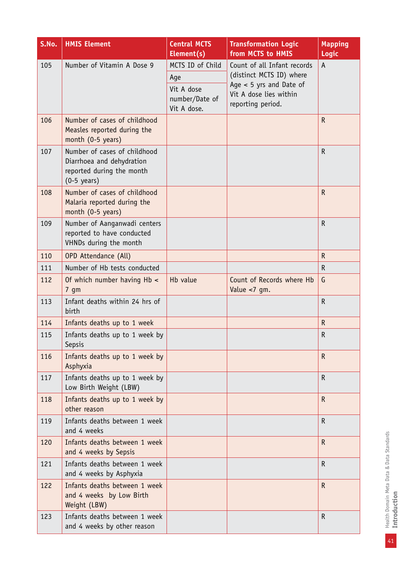| S.No. | <b>HMIS Element</b>                                                                                             | <b>Central MCTS</b><br>Element(s)           | <b>Transformation Logic</b><br>from MCTS to HMIS                         | <b>Mapping</b><br><b>Logic</b> |
|-------|-----------------------------------------------------------------------------------------------------------------|---------------------------------------------|--------------------------------------------------------------------------|--------------------------------|
| 105   | Number of Vitamin A Dose 9                                                                                      | MCTS ID of Child                            | Count of all Infant records                                              | A                              |
|       |                                                                                                                 | Age                                         | (distinct MCTS ID) where                                                 |                                |
|       |                                                                                                                 | Vit A dose<br>number/Date of<br>Vit A dose. | Age $<$ 5 yrs and Date of<br>Vit A dose lies within<br>reporting period. |                                |
| 106   | Number of cases of childhood<br>Measles reported during the<br>month (0-5 years)                                |                                             |                                                                          | $\mathsf{R}$                   |
| 107   | Number of cases of childhood<br>Diarrhoea and dehydration<br>reported during the month<br>$(0-5 \text{ years})$ |                                             |                                                                          | $\mathsf R$                    |
| 108   | Number of cases of childhood<br>Malaria reported during the<br>month (0-5 years)                                |                                             |                                                                          | $\mathsf{R}$                   |
| 109   | Number of Aanganwadi centers<br>reported to have conducted<br>VHNDs during the month                            |                                             |                                                                          | R                              |
| 110   | OPD Attendance (All)                                                                                            |                                             |                                                                          | $\mathsf{R}$                   |
| 111   | Number of Hb tests conducted                                                                                    |                                             |                                                                          | R                              |
| 112   | Of which number having Hb <<br>$7 \text{ gm}$                                                                   | Hb value                                    | Count of Records where Hb<br>Value <7 gm.                                | G                              |
| 113   | Infant deaths within 24 hrs of<br>birth                                                                         |                                             |                                                                          | R                              |
| 114   | Infants deaths up to 1 week                                                                                     |                                             |                                                                          | $\mathsf R$                    |
| 115   | Infants deaths up to 1 week by<br><b>Sepsis</b>                                                                 |                                             |                                                                          | R                              |
| 116   | Infants deaths up to 1 week by<br>Asphyxia                                                                      |                                             |                                                                          | $\mathsf{R}$                   |
| 117   | Infants deaths up to 1 week by<br>Low Birth Weight (LBW)                                                        |                                             |                                                                          | R                              |
| 118   | Infants deaths up to 1 week by<br>other reason                                                                  |                                             |                                                                          | $\mathsf{R}$                   |
| 119   | Infants deaths between 1 week<br>and 4 weeks                                                                    |                                             |                                                                          | $\mathsf{R}$                   |
| 120   | Infants deaths between 1 week<br>and 4 weeks by Sepsis                                                          |                                             |                                                                          | $\mathsf{R}$                   |
| 121   | Infants deaths between 1 week<br>and 4 weeks by Asphyxia                                                        |                                             |                                                                          | R                              |
| 122   | Infants deaths between 1 week<br>and 4 weeks by Low Birth<br>Weight (LBW)                                       |                                             |                                                                          | $\mathsf{R}$                   |
| 123   | Infants deaths between 1 week<br>and 4 weeks by other reason                                                    |                                             |                                                                          | R                              |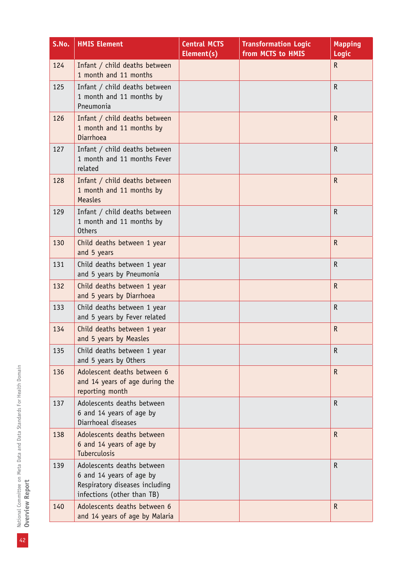| S.No. | <b>HMIS Element</b>                                                                                                    | <b>Central MCTS</b><br>Element(s) | <b>Transformation Logic</b><br>from MCTS to HMIS | <b>Mapping</b><br>Logic |
|-------|------------------------------------------------------------------------------------------------------------------------|-----------------------------------|--------------------------------------------------|-------------------------|
| 124   | Infant / child deaths between<br>1 month and 11 months                                                                 |                                   |                                                  | $\mathsf{R}$            |
| 125   | Infant / child deaths between<br>1 month and 11 months by<br>Pneumonia                                                 |                                   |                                                  | $\mathsf R$             |
| 126   | Infant / child deaths between<br>1 month and 11 months by<br><b>Diarrhoea</b>                                          |                                   |                                                  | $\mathsf R$             |
| 127   | Infant / child deaths between<br>1 month and 11 months Fever<br>related                                                |                                   |                                                  | $\mathsf R$             |
| 128   | Infant / child deaths between<br>1 month and 11 months by<br><b>Measles</b>                                            |                                   |                                                  | $\mathsf{R}$            |
| 129   | Infant / child deaths between<br>1 month and 11 months by<br><b>Others</b>                                             |                                   |                                                  | $\mathsf R$             |
| 130   | Child deaths between 1 year<br>and 5 years                                                                             |                                   |                                                  | $\mathsf{R}$            |
| 131   | Child deaths between 1 year<br>and 5 years by Pneumonia                                                                |                                   |                                                  | $\mathsf R$             |
| 132   | Child deaths between 1 year<br>and 5 years by Diarrhoea                                                                |                                   |                                                  | $\mathsf{R}$            |
| 133   | Child deaths between 1 year<br>and 5 years by Fever related                                                            |                                   |                                                  | $\mathsf R$             |
| 134   | Child deaths between 1 year<br>and 5 years by Measles                                                                  |                                   |                                                  | $\mathsf{R}$            |
| 135   | Child deaths between 1 year<br>and 5 years by Others                                                                   |                                   |                                                  | R                       |
| 136   | Adolescent deaths between 6<br>and 14 years of age during the<br>reporting month                                       |                                   |                                                  | $\mathsf R$             |
| 137   | Adolescents deaths between<br>6 and 14 years of age by<br>Diarrhoeal diseases                                          |                                   |                                                  | $\mathsf R$             |
| 138   | Adolescents deaths between<br>6 and 14 years of age by<br><b>Tuberculosis</b>                                          |                                   |                                                  | R                       |
| 139   | Adolescents deaths between<br>6 and 14 years of age by<br>Respiratory diseases including<br>infections (other than TB) |                                   |                                                  | $\mathsf{R}$            |
| 140   | Adolescents deaths between 6<br>and 14 years of age by Malaria                                                         |                                   |                                                  | $\mathsf{R}$            |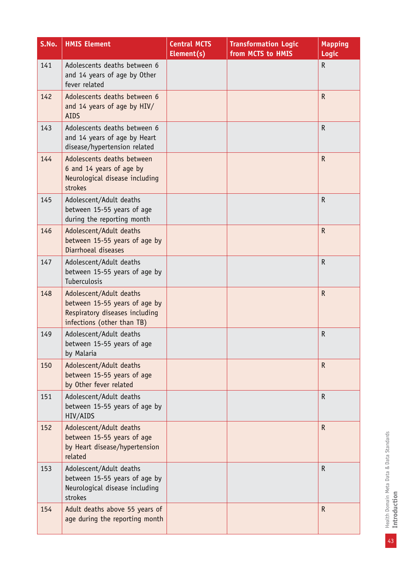| S.No. | <b>HMIS Element</b>                                                                                                      | <b>Central MCTS</b><br>Element(s) | <b>Transformation Logic</b><br>from MCTS to HMIS | <b>Mapping</b><br><b>Logic</b> |
|-------|--------------------------------------------------------------------------------------------------------------------------|-----------------------------------|--------------------------------------------------|--------------------------------|
| 141   | Adolescents deaths between 6<br>and 14 years of age by Other<br>fever related                                            |                                   |                                                  | $\mathsf R$                    |
| 142   | Adolescents deaths between 6<br>and 14 years of age by HIV/<br><b>AIDS</b>                                               |                                   |                                                  | $\mathsf{R}$                   |
| 143   | Adolescents deaths between 6<br>and 14 years of age by Heart<br>disease/hypertension related                             |                                   |                                                  | $\mathsf{R}$                   |
| 144   | Adolescents deaths between<br>6 and 14 years of age by<br>Neurological disease including<br>strokes                      |                                   |                                                  | $\mathsf{R}$                   |
| 145   | Adolescent/Adult deaths<br>between 15-55 years of age<br>during the reporting month                                      |                                   |                                                  | R                              |
| 146   | Adolescent/Adult deaths<br>between 15-55 years of age by<br>Diarrhoeal diseases                                          |                                   |                                                  | $\mathsf R$                    |
| 147   | Adolescent/Adult deaths<br>between 15-55 years of age by<br>Tuberculosis                                                 |                                   |                                                  | R                              |
| 148   | Adolescent/Adult deaths<br>between 15-55 years of age by<br>Respiratory diseases including<br>infections (other than TB) |                                   |                                                  | $\mathsf{R}$                   |
| 149   | Adolescent/Adult deaths<br>between 15-55 years of age<br>by Malaria                                                      |                                   |                                                  | $\mathsf R$                    |
| 150   | Adolescent/Adult deaths<br>between 15-55 years of age<br>by Other fever related                                          |                                   |                                                  | $\mathsf{R}$                   |
| 151   | Adolescent/Adult deaths<br>between 15-55 years of age by<br>HIV/AIDS                                                     |                                   |                                                  | $\mathsf{R}$                   |
| 152   | Adolescent/Adult deaths<br>between 15-55 years of age<br>by Heart disease/hypertension<br>related                        |                                   |                                                  | $\mathsf{R}$                   |
| 153   | Adolescent/Adult deaths<br>between 15-55 years of age by<br>Neurological disease including<br>strokes                    |                                   |                                                  | $\mathsf R$                    |
| 154   | Adult deaths above 55 years of<br>age during the reporting month                                                         |                                   |                                                  | R                              |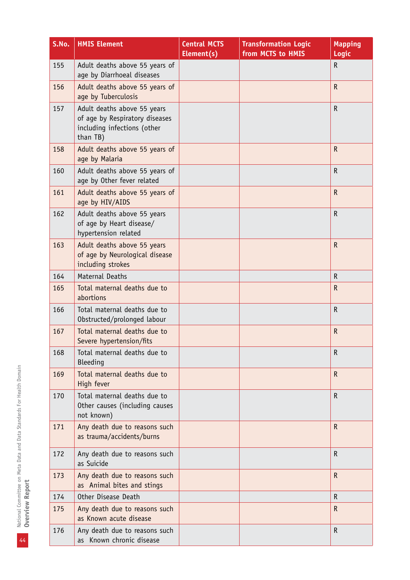| S.No. | <b>HMIS Element</b>                                                                                      | <b>Central MCTS</b><br>Element(s) | <b>Transformation Logic</b><br>from MCTS to HMIS | <b>Mapping</b><br>Logic |
|-------|----------------------------------------------------------------------------------------------------------|-----------------------------------|--------------------------------------------------|-------------------------|
| 155   | Adult deaths above 55 years of<br>age by Diarrhoeal diseases                                             |                                   |                                                  | $\mathsf R$             |
| 156   | Adult deaths above 55 years of<br>age by Tuberculosis                                                    |                                   |                                                  | $\mathsf R$             |
| 157   | Adult deaths above 55 years<br>of age by Respiratory diseases<br>including infections (other<br>than TB) |                                   |                                                  | $\mathsf{R}$            |
| 158   | Adult deaths above 55 years of<br>age by Malaria                                                         |                                   |                                                  | $\mathsf{R}$            |
| 160   | Adult deaths above 55 years of<br>age by Other fever related                                             |                                   |                                                  | $\mathsf R$             |
| 161   | Adult deaths above 55 years of<br>age by HIV/AIDS                                                        |                                   |                                                  | $\mathsf R$             |
| 162   | Adult deaths above 55 years<br>of age by Heart disease/<br>hypertension related                          |                                   |                                                  | $\mathsf R$             |
| 163   | Adult deaths above 55 years<br>of age by Neurological disease<br>including strokes                       |                                   |                                                  | $\mathsf{R}$            |
| 164   | <b>Maternal Deaths</b>                                                                                   |                                   |                                                  | $\mathsf R$             |
| 165   | Total maternal deaths due to<br>abortions                                                                |                                   |                                                  | $\mathsf{R}$            |
| 166   | Total maternal deaths due to<br>Obstructed/prolonged labour                                              |                                   |                                                  | $\mathsf R$             |
| 167   | Total maternal deaths due to<br>Severe hypertension/fits                                                 |                                   |                                                  | $\mathsf{R}$            |
| 168   | Total maternal deaths due to<br><b>Bleeding</b>                                                          |                                   |                                                  | $\mathsf R$             |
| 169   | Total maternal deaths due to<br>High fever                                                               |                                   |                                                  | $\mathsf R$             |
| 170   | Total maternal deaths due to<br>Other causes (including causes<br>not known)                             |                                   |                                                  | $\mathsf R$             |
| 171   | Any death due to reasons such<br>as trauma/accidents/burns                                               |                                   |                                                  | $\mathsf{R}$            |
| 172   | Any death due to reasons such<br>as Suicide                                                              |                                   |                                                  | $\mathsf R$             |
| 173   | Any death due to reasons such<br>as Animal bites and stings                                              |                                   |                                                  | $\mathsf{R}$            |
| 174   | Other Disease Death                                                                                      |                                   |                                                  | $\mathsf R$             |
| 175   | Any death due to reasons such<br>as Known acute disease                                                  |                                   |                                                  | $\mathsf{R}$            |
| 176   | Any death due to reasons such<br>as Known chronic disease                                                |                                   |                                                  | $\mathsf R$             |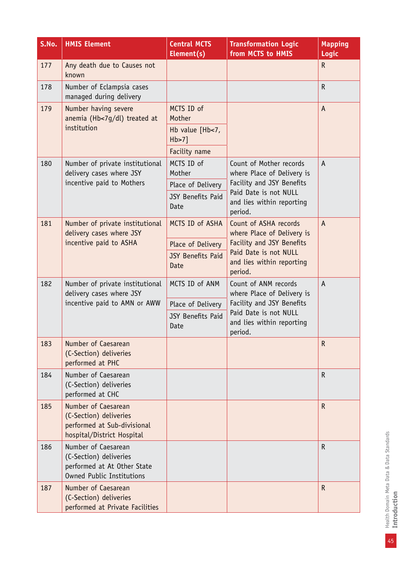| S.No. | <b>HMIS Element</b>                                                                                              | <b>Central MCTS</b><br>Element(s) | <b>Transformation Logic</b><br>from MCTS to HMIS              | <b>Mapping</b><br>Logic |
|-------|------------------------------------------------------------------------------------------------------------------|-----------------------------------|---------------------------------------------------------------|-------------------------|
| 177   | Any death due to Causes not<br>known                                                                             |                                   |                                                               | $\mathsf R$             |
| 178   | Number of Eclampsia cases<br>managed during delivery                                                             |                                   |                                                               | $\mathsf R$             |
| 179   | Number having severe<br>anemia (Hb<7g/dl) treated at<br>institution                                              | MCTS ID of<br>Mother              |                                                               | A                       |
|       |                                                                                                                  | Hb value [Hb<7,<br>$Hb > 7$ ]     |                                                               |                         |
|       |                                                                                                                  | Facility name                     |                                                               |                         |
| 180   | Number of private institutional<br>delivery cases where JSY                                                      | MCTS ID of<br>Mother              | Count of Mother records<br>where Place of Delivery is         | $\overline{A}$          |
|       | incentive paid to Mothers                                                                                        | Place of Delivery                 | Facility and JSY Benefits                                     |                         |
|       |                                                                                                                  | JSY Benefits Paid<br>Date         | Paid Date is not NULL<br>and lies within reporting<br>period. |                         |
| 181   | Number of private institutional<br>delivery cases where JSY                                                      | MCTS ID of ASHA                   | Count of ASHA records<br>where Place of Delivery is           | $\Lambda$               |
|       | incentive paid to ASHA                                                                                           | Place of Delivery                 | Facility and JSY Benefits                                     |                         |
|       |                                                                                                                  | <b>JSY Benefits Paid</b><br>Date  | Paid Date is not NULL<br>and lies within reporting<br>period. |                         |
| 182   | Number of private institutional<br>delivery cases where JSY                                                      | MCTS ID of ANM                    | Count of ANM records<br>where Place of Delivery is            | $\mathsf{A}$            |
|       | incentive paid to AMN or AWW                                                                                     | Place of Delivery                 | Facility and JSY Benefits                                     |                         |
|       |                                                                                                                  | <b>JSY Benefits Paid</b><br>Date  | Paid Date is not NULL<br>and lies within reporting<br>period. |                         |
| 183   | Number of Caesarean<br>(C-Section) deliveries<br>performed at PHC                                                |                                   |                                                               | $\mathsf{R}$            |
| 184   | Number of Caesarean<br>(C-Section) deliveries<br>performed at CHC                                                |                                   |                                                               | $\mathsf{R}$            |
| 185   | Number of Caesarean<br>(C-Section) deliveries<br>performed at Sub-divisional<br>hospital/District Hospital       |                                   |                                                               | $\mathsf{R}$            |
| 186   | Number of Caesarean<br>(C-Section) deliveries<br>performed at At Other State<br><b>Owned Public Institutions</b> |                                   |                                                               | $\mathsf R$             |
| 187   | Number of Caesarean<br>(C-Section) deliveries<br>performed at Private Facilities                                 |                                   |                                                               | $\mathsf R$             |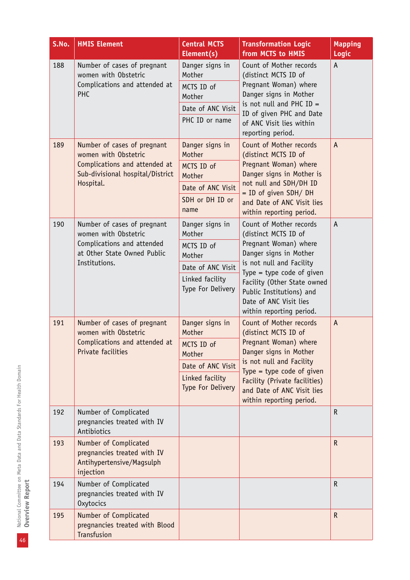| S.No. | <b>HMIS Element</b>                                                                                                                   | <b>Central MCTS</b><br>Element(s)                                                                              | <b>Transformation Logic</b><br>from MCTS to HMIS                                                                                                                                                                                                                             | <b>Mapping</b><br>Logic |
|-------|---------------------------------------------------------------------------------------------------------------------------------------|----------------------------------------------------------------------------------------------------------------|------------------------------------------------------------------------------------------------------------------------------------------------------------------------------------------------------------------------------------------------------------------------------|-------------------------|
| 188   | Number of cases of pregnant<br>women with Obstetric<br>Complications and attended at<br>PHC                                           | Danger signs in<br>Mother<br>MCTS ID of<br>Mother<br>Date of ANC Visit<br>PHC ID or name                       | Count of Mother records<br>(distinct MCTS ID of<br>Pregnant Woman) where<br>Danger signs in Mother<br>is not null and PHC $ID =$<br>ID of given PHC and Date<br>of ANC Visit lies within<br>reporting period.                                                                | A                       |
| 189   | Number of cases of pregnant<br>women with Obstetric<br>Complications and attended at<br>Sub-divisional hospital/District<br>Hospital. | Danger signs in<br>Mother<br>MCTS ID of<br>Mother<br>Date of ANC Visit<br>SDH or DH ID or<br>name              | Count of Mother records<br>(distinct MCTS ID of<br>Pregnant Woman) where<br>Danger signs in Mother is<br>not null and SDH/DH ID<br>$=$ ID of given SDH/DH<br>and Date of ANC Visit lies<br>within reporting period.                                                          | $\mathsf{A}$            |
| 190   | Number of cases of pregnant<br>women with Obstetric<br>Complications and attended<br>at Other State Owned Public<br>Institutions.     | Danger signs in<br>Mother<br>MCTS ID of<br>Mother<br>Date of ANC Visit<br>Linked facility<br>Type For Delivery | Count of Mother records<br>(distinct MCTS ID of<br>Pregnant Woman) where<br>Danger signs in Mother<br>is not null and Facility<br>Type = type code of given<br>Facility (Other State owned<br>Public Institutions) and<br>Date of ANC Visit lies<br>within reporting period. | A                       |
| 191   | Number of cases of pregnant<br>women with Obstetric<br>Complications and attended at<br>Private facilities                            | Danger signs in<br>Mother<br>MCTS ID of<br>Mother<br>Date of ANC Visit<br>Linked facility<br>Type For Delivery | Count of Mother records<br>(distinct MCTS ID of<br>Pregnant Woman) where<br>Danger signs in Mother<br>is not null and Facility<br>Type = type code of given<br>Facility (Private facilities)<br>and Date of ANC Visit lies<br>within reporting period.                       | A                       |
| 192   | Number of Complicated<br>pregnancies treated with IV<br>Antibiotics                                                                   |                                                                                                                |                                                                                                                                                                                                                                                                              | $\mathsf{R}$            |
| 193   | Number of Complicated<br>pregnancies treated with IV<br>Antihypertensive/Magsulph<br>injection                                        |                                                                                                                |                                                                                                                                                                                                                                                                              | ${\sf R}$               |
| 194   | Number of Complicated<br>pregnancies treated with IV<br><b>Oxytocics</b>                                                              |                                                                                                                |                                                                                                                                                                                                                                                                              | $\mathsf{R}$            |
| 195   | Number of Complicated<br>pregnancies treated with Blood<br>Transfusion                                                                |                                                                                                                |                                                                                                                                                                                                                                                                              | $\mathsf{R}$            |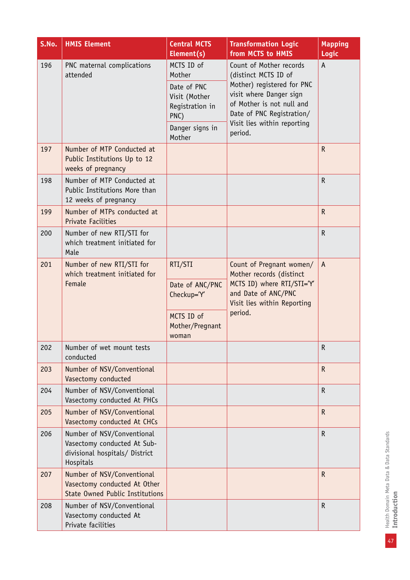| S.No. | <b>HMIS Element</b>                                                                                      | <b>Central MCTS</b><br>Element(s)                                                                            | <b>Transformation Logic</b><br>from MCTS to HMIS                                                                                                                                                             | <b>Mapping</b><br>Logic |
|-------|----------------------------------------------------------------------------------------------------------|--------------------------------------------------------------------------------------------------------------|--------------------------------------------------------------------------------------------------------------------------------------------------------------------------------------------------------------|-------------------------|
| 196   | PNC maternal complications<br>attended                                                                   | MCTS ID of<br>Mother<br>Date of PNC<br>Visit (Mother<br>Registration in<br>PNC)<br>Danger signs in<br>Mother | Count of Mother records<br>(distinct MCTS ID of<br>Mother) registered for PNC<br>visit where Danger sign<br>of Mother is not null and<br>Date of PNC Registration/<br>Visit lies within reporting<br>period. | A                       |
| 197   | Number of MTP Conducted at<br>Public Institutions Up to 12<br>weeks of pregnancy                         |                                                                                                              |                                                                                                                                                                                                              | $\mathsf{R}$            |
| 198   | Number of MTP Conducted at<br>Public Institutions More than<br>12 weeks of pregnancy                     |                                                                                                              |                                                                                                                                                                                                              | $\mathsf{R}$            |
| 199   | Number of MTPs conducted at<br><b>Private Facilities</b>                                                 |                                                                                                              |                                                                                                                                                                                                              | ${\sf R}$               |
| 200   | Number of new RTI/STI for<br>which treatment initiated for<br>Male                                       |                                                                                                              |                                                                                                                                                                                                              | $\mathsf R$             |
| 201   | Number of new RTI/STI for<br>which treatment initiated for<br>Female                                     | RTI/STI                                                                                                      | Count of Pregnant women/<br>Mother records (distinct<br>MCTS ID) where RTI/STI='Y'<br>and Date of ANC/PNC<br>Visit lies within Reporting<br>period.                                                          | $\mathsf{A}$            |
|       |                                                                                                          | Date of ANC/PNC<br>Checkup='Y'                                                                               |                                                                                                                                                                                                              |                         |
|       |                                                                                                          | MCTS ID of<br>Mother/Pregnant<br>woman                                                                       |                                                                                                                                                                                                              |                         |
| 202   | Number of wet mount tests<br>conducted                                                                   |                                                                                                              |                                                                                                                                                                                                              | $\mathsf R$             |
| 203   | Number of NSV/Conventional<br>Vasectomy conducted                                                        |                                                                                                              |                                                                                                                                                                                                              | $\mathsf R$             |
| 204   | Number of NSV/Conventional<br>Vasectomy conducted At PHCs                                                |                                                                                                              |                                                                                                                                                                                                              | $\mathsf R$             |
| 205   | Number of NSV/Conventional<br>Vasectomy conducted At CHCs                                                |                                                                                                              |                                                                                                                                                                                                              | ${\sf R}$               |
| 206   | Number of NSV/Conventional<br>Vasectomy conducted At Sub-<br>divisional hospitals/ District<br>Hospitals |                                                                                                              |                                                                                                                                                                                                              | $\mathsf R$             |
| 207   | Number of NSV/Conventional<br>Vasectomy conducted At Other<br><b>State Owned Public Institutions</b>     |                                                                                                              |                                                                                                                                                                                                              | $\mathsf{R}$            |
| 208   | Number of NSV/Conventional<br>Vasectomy conducted At<br>Private facilities                               |                                                                                                              |                                                                                                                                                                                                              | $\mathsf R$             |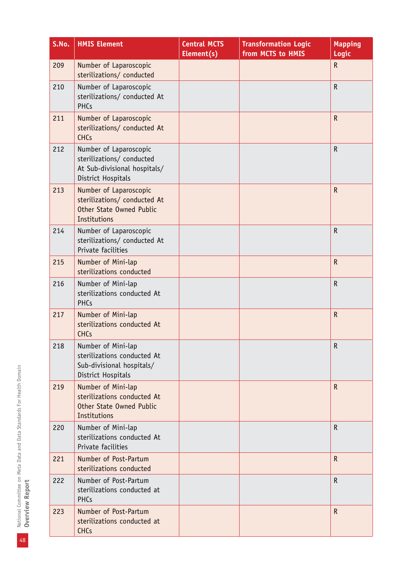| S.No. | <b>HMIS Element</b>                                                                                       | <b>Central MCTS</b><br>Element(s) | <b>Transformation Logic</b><br>from MCTS to HMIS | Mapping<br>Logic |
|-------|-----------------------------------------------------------------------------------------------------------|-----------------------------------|--------------------------------------------------|------------------|
| 209   | Number of Laparoscopic<br>sterilizations/ conducted                                                       |                                   |                                                  | ${\sf R}$        |
| 210   | Number of Laparoscopic<br>sterilizations/ conducted At<br><b>PHCs</b>                                     |                                   |                                                  | ${\sf R}$        |
| 211   | Number of Laparoscopic<br>sterilizations/ conducted At<br><b>CHCs</b>                                     |                                   |                                                  | $\mathsf R$      |
| 212   | Number of Laparoscopic<br>sterilizations/ conducted<br>At Sub-divisional hospitals/<br>District Hospitals |                                   |                                                  | $\mathsf R$      |
| 213   | Number of Laparoscopic<br>sterilizations/ conducted At<br>Other State Owned Public<br>Institutions        |                                   |                                                  | $\mathsf R$      |
| 214   | Number of Laparoscopic<br>sterilizations/ conducted At<br>Private facilities                              |                                   |                                                  | $\mathsf R$      |
| 215   | Number of Mini-lap<br>sterilizations conducted                                                            |                                   |                                                  | $\mathsf R$      |
| 216   | Number of Mini-lap<br>sterilizations conducted At<br><b>PHCs</b>                                          |                                   |                                                  | $\mathsf R$      |
| 217   | Number of Mini-lap<br>sterilizations conducted At<br><b>CHCs</b>                                          |                                   |                                                  | $\mathsf{R}$     |
| 218   | Number of Mini-lap<br>sterilizations conducted At<br>Sub-divisional hospitals/<br>District Hospitals      |                                   |                                                  | ${\sf R}$        |
| 219   | Number of Mini-lap<br>sterilizations conducted At<br>Other State Owned Public<br><b>Institutions</b>      |                                   |                                                  | R.               |
| 220   | Number of Mini-lap<br>sterilizations conducted At<br>Private facilities                                   |                                   |                                                  | $\mathsf{R}$     |
| 221   | Number of Post-Partum<br>sterilizations conducted                                                         |                                   |                                                  | $\mathsf R$      |
| 222   | Number of Post-Partum<br>sterilizations conducted at<br><b>PHCs</b>                                       |                                   |                                                  | $\mathsf R$      |
| 223   | Number of Post-Partum<br>sterilizations conducted at<br><b>CHCs</b>                                       |                                   |                                                  | $\mathsf R$      |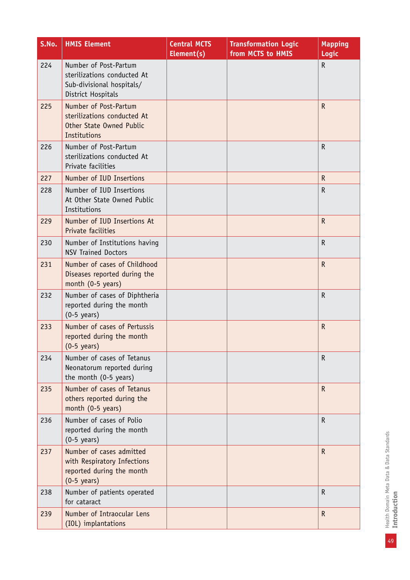| S.No. | <b>HMIS Element</b>                                                                                           | <b>Central MCTS</b><br>Element(s) | <b>Transformation Logic</b><br>from MCTS to HMIS | <b>Mapping</b><br><b>Logic</b> |
|-------|---------------------------------------------------------------------------------------------------------------|-----------------------------------|--------------------------------------------------|--------------------------------|
| 224   | Number of Post-Partum<br>sterilizations conducted At<br>Sub-divisional hospitals/<br>District Hospitals       |                                   |                                                  | R                              |
| 225   | Number of Post-Partum<br>sterilizations conducted At<br>Other State Owned Public<br>Institutions              |                                   |                                                  | $\mathsf{R}$                   |
| 226   | Number of Post-Partum<br>sterilizations conducted At<br>Private facilities                                    |                                   |                                                  | $\mathsf R$                    |
| 227   | Number of IUD Insertions                                                                                      |                                   |                                                  | $\mathsf{R}$                   |
| 228   | Number of IUD Insertions<br>At Other State Owned Public<br>Institutions                                       |                                   |                                                  | R                              |
| 229   | Number of IUD Insertions At<br>Private facilities                                                             |                                   |                                                  | $\mathsf R$                    |
| 230   | Number of Institutions having<br><b>NSV Trained Doctors</b>                                                   |                                   |                                                  | $\mathsf R$                    |
| 231   | Number of cases of Childhood<br>Diseases reported during the<br>month (0-5 years)                             |                                   |                                                  | $\mathsf{R}$                   |
| 232   | Number of cases of Diphtheria<br>reported during the month<br>$(0-5 \text{ years})$                           |                                   |                                                  | R                              |
| 233   | Number of cases of Pertussis<br>reported during the month<br>$(0-5 \text{ years})$                            |                                   |                                                  | $\mathsf{R}$                   |
| 234   | Number of cases of Tetanus<br>Neonatorum reported during<br>the month (0-5 years)                             |                                   |                                                  | $\mathsf R$                    |
| 235   | Number of cases of Tetanus<br>others reported during the<br>month (0-5 years)                                 |                                   |                                                  | $\mathsf R$                    |
| 236   | Number of cases of Polio<br>reported during the month<br>$(0-5 \text{ years})$                                |                                   |                                                  | $\mathsf R$                    |
| 237   | Number of cases admitted<br>with Respiratory Infections<br>reported during the month<br>$(0-5 \text{ years})$ |                                   |                                                  | ${\sf R}$                      |
| 238   | Number of patients operated<br>for cataract                                                                   |                                   |                                                  | $\mathsf R$                    |
| 239   | Number of Intraocular Lens<br>(IOL) implantations                                                             |                                   |                                                  | $\mathsf R$                    |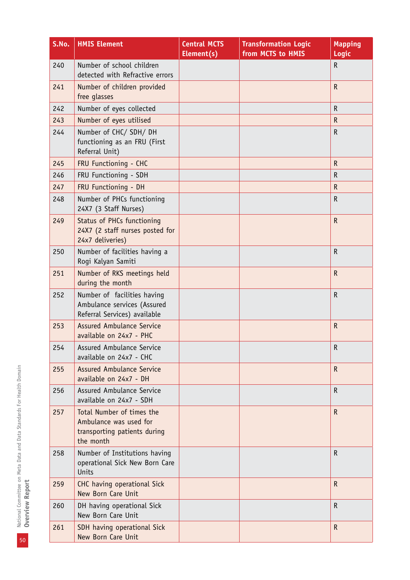| S.No. | <b>HMIS Element</b>                                                                              | <b>Central MCTS</b><br>Element(s) | <b>Transformation Logic</b><br>from MCTS to HMIS | <b>Mapping</b><br>Logic |
|-------|--------------------------------------------------------------------------------------------------|-----------------------------------|--------------------------------------------------|-------------------------|
| 240   | Number of school children<br>detected with Refractive errors                                     |                                   |                                                  | R                       |
| 241   | Number of children provided<br>free glasses                                                      |                                   |                                                  | ${\sf R}$               |
| 242   | Number of eyes collected                                                                         |                                   |                                                  | $\mathsf R$             |
| 243   | Number of eyes utilised                                                                          |                                   |                                                  | $\mathsf{R}$            |
| 244   | Number of CHC/SDH/DH<br>functioning as an FRU (First<br>Referral Unit)                           |                                   |                                                  | $\mathsf R$             |
| 245   | FRU Functioning - CHC                                                                            |                                   |                                                  | $\mathsf R$             |
| 246   | FRU Functioning - SDH                                                                            |                                   |                                                  | $\mathsf R$             |
| 247   | FRU Functioning - DH                                                                             |                                   |                                                  | ${\sf R}$               |
| 248   | Number of PHCs functioning<br>24X7 (3 Staff Nurses)                                              |                                   |                                                  | $\mathsf R$             |
| 249   | Status of PHCs functioning<br>24X7 (2 staff nurses posted for<br>24x7 deliveries)                |                                   |                                                  | $\mathsf R$             |
| 250   | Number of facilities having a<br>Rogi Kalyan Samiti                                              |                                   |                                                  | $\mathsf R$             |
| 251   | Number of RKS meetings held<br>during the month                                                  |                                   |                                                  | $\mathsf R$             |
| 252   | Number of facilities having<br>Ambulance services (Assured<br>Referral Services) available       |                                   |                                                  | $\mathsf R$             |
| 253   | <b>Assured Ambulance Service</b><br>available on 24x7 - PHC                                      |                                   |                                                  | $\mathsf R$             |
| 254   | Assured Ambulance Service<br>available on 24x7 - CHC                                             |                                   |                                                  | R                       |
| 255   | <b>Assured Ambulance Service</b><br>available on 24x7 - DH                                       |                                   |                                                  | $\mathsf{R}$            |
| 256   | <b>Assured Ambulance Service</b><br>available on 24x7 - SDH                                      |                                   |                                                  | $\mathsf R$             |
| 257   | Total Number of times the<br>Ambulance was used for<br>transporting patients during<br>the month |                                   |                                                  | $\mathsf{R}$            |
| 258   | Number of Institutions having<br>operational Sick New Born Care<br>Units                         |                                   |                                                  | $\mathsf R$             |
| 259   | CHC having operational Sick<br>New Born Care Unit                                                |                                   |                                                  | $\mathsf{R}$            |
| 260   | DH having operational Sick<br>New Born Care Unit                                                 |                                   |                                                  | R                       |
| 261   | SDH having operational Sick<br>New Born Care Unit                                                |                                   |                                                  | $\mathsf R$             |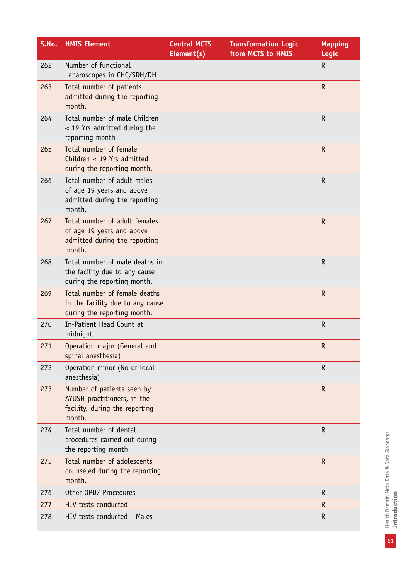| S.No. | <b>HMIS Element</b>                                                                                   | <b>Central MCTS</b><br>Element(s) | <b>Transformation Logic</b><br>from MCTS to HMIS | <b>Mapping</b><br>Logic |
|-------|-------------------------------------------------------------------------------------------------------|-----------------------------------|--------------------------------------------------|-------------------------|
| 262   | Number of functional<br>Laparoscopes in CHC/SDH/DH                                                    |                                   |                                                  | ${\sf R}$               |
| 263   | Total number of patients<br>admitted during the reporting<br>month.                                   |                                   |                                                  | $\mathsf R$             |
| 264   | Total number of male Children<br>< 19 Yrs admitted during the<br>reporting month                      |                                   |                                                  | $\mathsf R$             |
| 265   | Total number of female<br>Children < 19 Yrs admitted<br>during the reporting month.                   |                                   |                                                  | $\mathsf{R}$            |
| 266   | Total number of adult males<br>of age 19 years and above<br>admitted during the reporting<br>month.   |                                   |                                                  | $\mathsf{R}$            |
| 267   | Total number of adult females<br>of age 19 years and above<br>admitted during the reporting<br>month. |                                   |                                                  | $\mathsf R$             |
| 268   | Total number of male deaths in<br>the facility due to any cause<br>during the reporting month.        |                                   |                                                  | $\mathsf R$             |
| 269   | Total number of female deaths<br>in the facility due to any cause<br>during the reporting month.      |                                   |                                                  | $\mathsf R$             |
| 270   | In-Patient Head Count at<br>midnight                                                                  |                                   |                                                  | $\mathsf R$             |
| 271   | Operation major (General and<br>spinal anesthesia)                                                    |                                   |                                                  | ${\sf R}$               |
| 272   | Operation minor (No or local<br>anesthesia)                                                           |                                   |                                                  | $\mathsf{R}$            |
| 273   | Number of patients seen by<br>AYUSH practitioners, in the<br>facility, during the reporting<br>month. |                                   |                                                  | $\mathsf{R}$            |
| 274   | Total number of dental<br>procedures carried out during<br>the reporting month                        |                                   |                                                  | $\mathsf R$             |
| 275   | Total number of adolescents<br>counseled during the reporting<br>month.                               |                                   |                                                  | $\mathsf R$             |
| 276   | Other OPD/ Procedures                                                                                 |                                   |                                                  | $\mathsf R$             |
| 277   | HIV tests conducted                                                                                   |                                   |                                                  | R.                      |
| 278   | HIV tests conducted - Males                                                                           |                                   |                                                  | $\mathsf R$             |